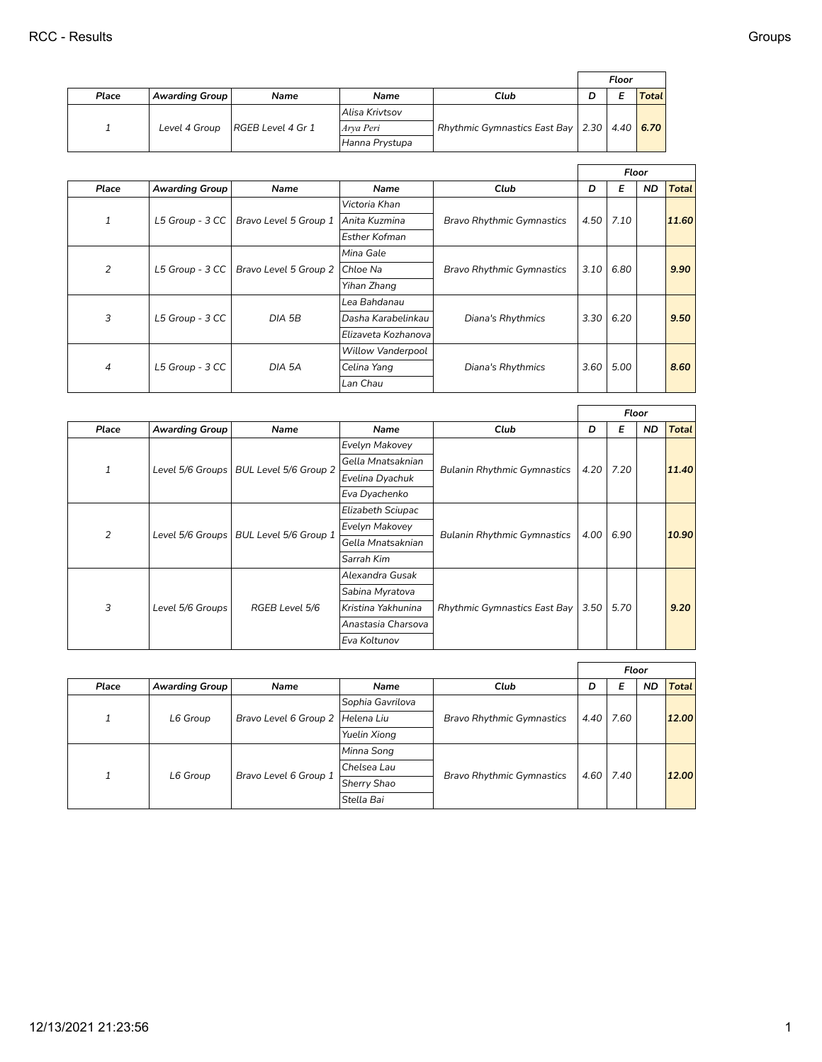|       |                       |                   |                |                                                   |   | Floor |       |
|-------|-----------------------|-------------------|----------------|---------------------------------------------------|---|-------|-------|
| Place | <b>Awarding Group</b> | <b>Name</b>       | Name           | Club                                              | D |       | Total |
|       |                       |                   | Alisa Krivtsov |                                                   |   |       |       |
|       | Level 4 Group         | RGEB Level 4 Gr 1 | Arva Peri      | Rhythmic Gymnastics East Bay   2.30   4.40   6.70 |   |       |       |
|       |                       |                   | Hanna Prystupa |                                                   |   |       |       |

|       |                       |                       |                          |                                  |      |      | Floor     |              |
|-------|-----------------------|-----------------------|--------------------------|----------------------------------|------|------|-----------|--------------|
| Place | <b>Awarding Group</b> | Name                  | Name                     | Club                             | D    | E    | <b>ND</b> | <b>Total</b> |
|       |                       |                       | Victoria Khan            |                                  |      |      |           |              |
| 1     | L5 Group - $3$ CC     | Bravo Level 5 Group 1 | Anita Kuzmina            | <b>Bravo Rhythmic Gymnastics</b> | 4.50 | 7.10 |           | 11.60        |
|       |                       |                       | <b>Esther Kofman</b>     |                                  |      |      |           |              |
|       |                       |                       | Mina Gale                |                                  |      |      |           |              |
| 2     | L5 Group - $3$ CC     | Bravo Level 5 Group 2 | Chloe Na                 | <b>Bravo Rhythmic Gymnastics</b> | 3.10 | 6.80 |           | 9.90         |
|       |                       |                       | Yihan Zhang              |                                  |      |      |           |              |
|       |                       |                       | Lea Bahdanau             |                                  |      |      |           |              |
| 3     | L5 Group - 3 CC       | DIA 5B                | Dasha Karabelinkau       | Diana's Rhythmics                | 3.30 | 6.20 |           | 9.50         |
|       |                       |                       | Elizaveta Kozhanova      |                                  |      |      |           |              |
|       |                       |                       | <b>Willow Vanderpool</b> |                                  |      |      |           |              |
| 4     | L5 Group - 3 CC       | DIA 5A                | Celina Yang              | Diana's Rhythmics                | 3.60 | 5.00 |           | 8.60         |
|       |                       |                       | Lan Chau                 |                                  |      |      |           |              |

|                |                       |                                                         |                    |                                     |      | Floor |           |              |
|----------------|-----------------------|---------------------------------------------------------|--------------------|-------------------------------------|------|-------|-----------|--------------|
| Place          | <b>Awarding Group</b> | Name                                                    | Name               | Club                                | D    | Е     | <b>ND</b> | <b>Total</b> |
|                |                       |                                                         | Evelyn Makovey     |                                     |      |       |           |              |
| 1              |                       | Level 5/6 Groups   BUL Level 5/6 Group 2                | Gella Mnatsaknian  | <b>Bulanin Rhythmic Gymnastics</b>  | 4.20 | 7.20  |           | 11.40        |
|                |                       |                                                         | Evelina Dyachuk    |                                     |      |       |           |              |
|                |                       |                                                         | Eva Dyachenko      |                                     |      |       |           |              |
|                |                       |                                                         | Elizabeth Sciupac  |                                     |      |       |           |              |
| $\overline{2}$ |                       | Level 5/6 Groups   BUL Level 5/6 Group 1                | Evelyn Makovey     | <b>Bulanin Rhythmic Gymnastics</b>  | 4.00 | 6.90  |           | 10.90        |
|                |                       |                                                         | Gella Mnatsaknian  |                                     |      |       |           |              |
|                |                       |                                                         | Sarrah Kim         |                                     |      |       |           |              |
|                |                       |                                                         | Alexandra Gusak    |                                     |      |       |           |              |
|                |                       | Sabina Myratova<br>RGEB Level 5/6<br>Kristina Yakhunina |                    |                                     |      |       |           |              |
| 3              | Level 5/6 Groups      |                                                         |                    | <b>Rhythmic Gymnastics East Bay</b> | 3.50 | 5.70  |           | 9.20         |
|                |                       |                                                         | Anastasia Charsova |                                     |      |       |           |              |
|                |                       |                                                         | Eva Koltunov       |                                     |      |       |           |              |

|                |                       |                       |                     |                                  |      | Floor |    |              |
|----------------|-----------------------|-----------------------|---------------------|----------------------------------|------|-------|----|--------------|
| Place          | <b>Awarding Group</b> | Name                  | Name                | Club                             | D    | Е     | ND | <b>Total</b> |
|                |                       |                       | Sophia Gavrilova    |                                  |      |       |    |              |
|                | L6 Group              | Bravo Level 6 Group 2 | Helena Liu          | <b>Bravo Rhythmic Gymnastics</b> | 4.40 | 7.60  |    | 12.00        |
|                |                       |                       | <b>Yuelin Xiong</b> |                                  |      |       |    |              |
|                |                       |                       | Minna Song          |                                  |      |       |    |              |
| $\overline{ }$ | L6 Group              |                       | Chelsea Lau         |                                  | 4.60 | 7.40  |    | 12.00        |
|                |                       | Bravo Level 6 Group 1 | <b>Sherry Shao</b>  | <b>Bravo Rhythmic Gymnastics</b> |      |       |    |              |
|                |                       |                       | Stella Bai          |                                  |      |       |    |              |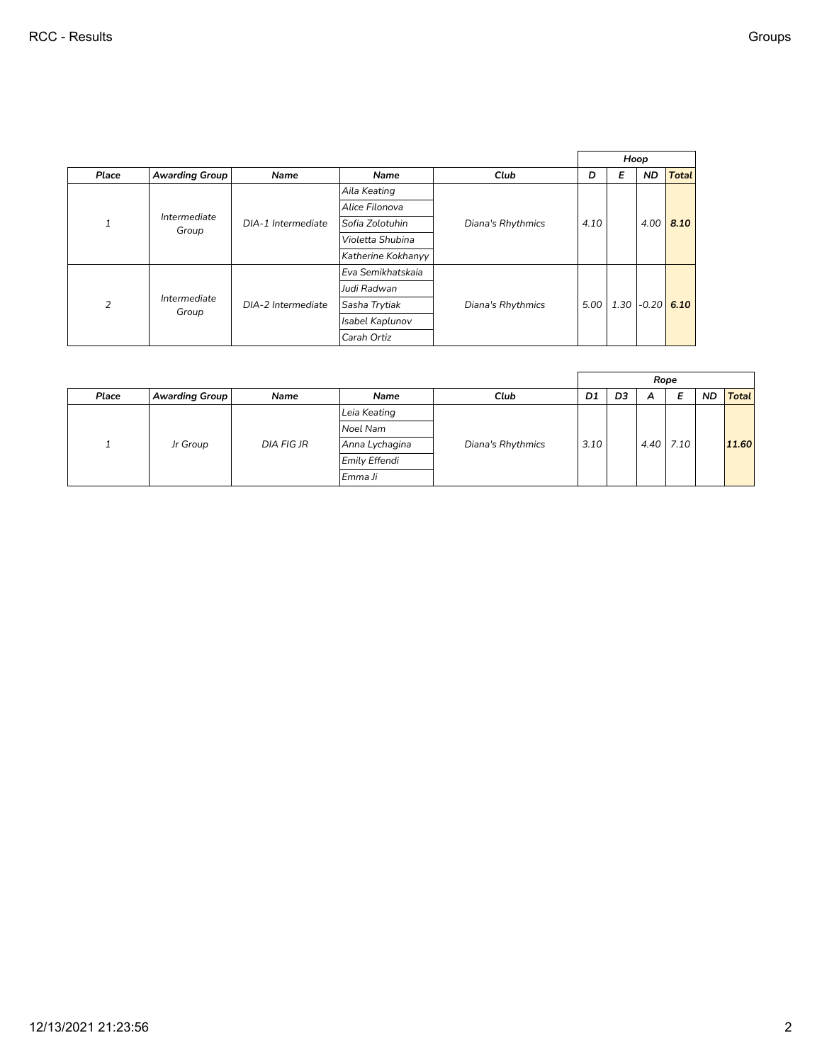|              |                       |                    |                    |                   |      | Hoop |           |              |
|--------------|-----------------------|--------------------|--------------------|-------------------|------|------|-----------|--------------|
| Place        | <b>Awarding Group</b> | Name               | Name               | Club              | D    | Е    | <b>ND</b> | <b>Total</b> |
|              |                       |                    | Aila Keating       |                   |      |      |           |              |
|              |                       |                    | Alice Filonova     |                   |      |      |           |              |
| $\mathbf{1}$ | Intermediate<br>Group | DIA-1 Intermediate | Sofia Zolotuhin    | Diana's Rhythmics | 4.10 |      | 4.00      | 8.10         |
|              |                       |                    | Violetta Shubina   |                   |      |      |           |              |
|              |                       |                    | Katherine Kokhanyy |                   |      |      |           |              |
|              |                       |                    | Eva Semikhatskaia  |                   |      |      |           |              |
|              |                       |                    | Judi Radwan        |                   |      |      |           |              |
| 2            | Intermediate<br>Group | DIA-2 Intermediate | Sasha Trytiak      | Diana's Rhythmics | 5.00 | 1.30 | $-0.20$   | 6.10         |
|              |                       |                    | Isabel Kaplunov    |                   |      |      |           |              |
|              |                       |                    | Carah Ortiz        |                   |      |      |           |              |

|       |                |             |                |                   |      |    | Rope |               |           |              |
|-------|----------------|-------------|----------------|-------------------|------|----|------|---------------|-----------|--------------|
| Place | Awarding Group | <b>Name</b> | Name           | Club              | D1   | D3 | A    | Е             | <b>ND</b> | <b>Total</b> |
|       |                |             | Leia Keating   |                   |      |    |      |               |           |              |
|       |                |             | Noel Nam       |                   |      |    |      |               |           |              |
|       | Jr Group       | DIA FIG JR  | Anna Lychagina | Diana's Rhythmics | 3.10 |    |      | $4.40$   7.10 |           | 11.60        |
|       |                |             | Emily Effendi  |                   |      |    |      |               |           |              |
|       |                |             | Emma Ji        |                   |      |    |      |               |           |              |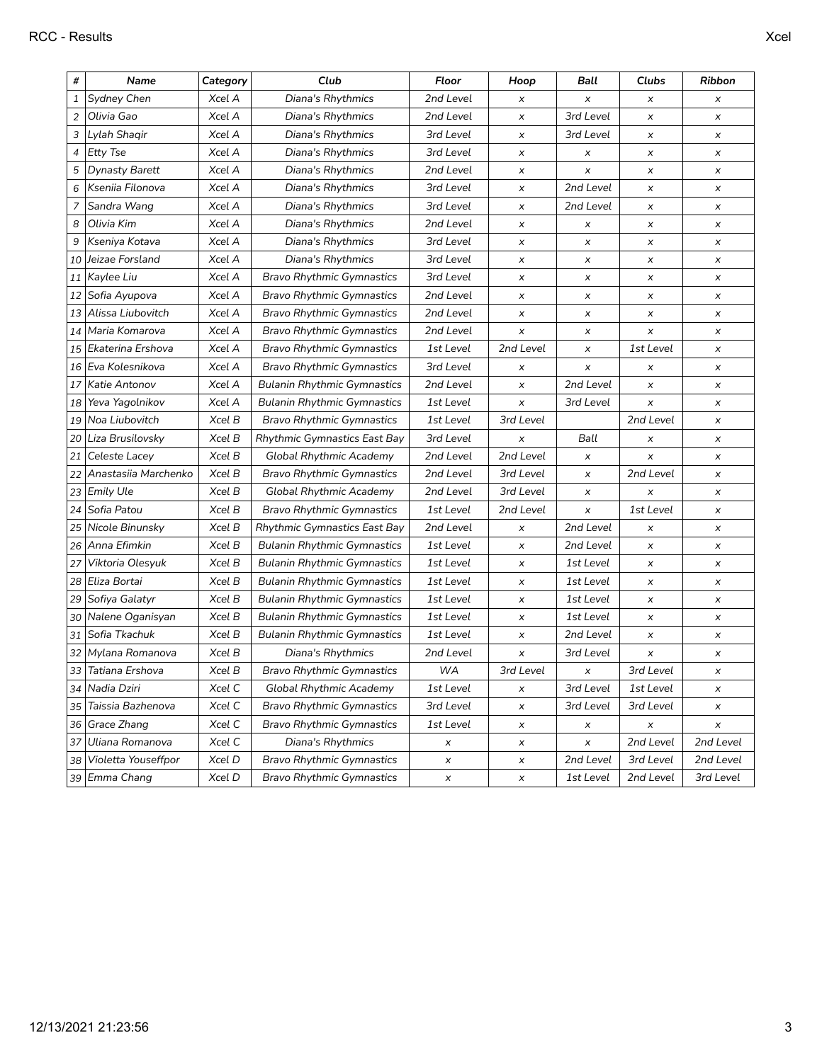| #            | Name                   | Category | Club                                | Floor     | Hoop           | Ball           | Clubs          | Ribbon         |
|--------------|------------------------|----------|-------------------------------------|-----------|----------------|----------------|----------------|----------------|
| $\mathbf{1}$ | Sydney Chen            | Xcel A   | Diana's Rhythmics                   | 2nd Level | x              | x              | x              | x              |
| 2            | Olivia Gao             | Xcel A   | Diana's Rhythmics                   | 2nd Level | $\pmb{\times}$ | 3rd Level      | $\pmb{\times}$ | x              |
| 3            | Lylah Shaqir           | Xcel A   | Diana's Rhythmics                   | 3rd Level | $\pmb{\times}$ | 3rd Level      | x              | $\pmb{\times}$ |
| 4            | Etty Tse               | Xcel A   | Diana's Rhythmics                   | 3rd Level | X              | x              | x              | x              |
| 5            | <b>Dynasty Barett</b>  | Xcel A   | Diana's Rhythmics                   | 2nd Level | X              | x              | x              | $\pmb{\times}$ |
| 6            | Kseniia Filonova       | Xcel A   | Diana's Rhythmics                   | 3rd Level | X              | 2nd Level      | x              | $\pmb{\times}$ |
| 7            | Sandra Wang            | Xcel A   | Diana's Rhythmics                   | 3rd Level | $\pmb{\times}$ | 2nd Level      | x              | $\pmb{\times}$ |
| 8            | Olivia Kim             | Xcel A   | Diana's Rhythmics                   | 2nd Level | x              | x              | x              | X              |
| 9            | Kseniya Kotava         | Xcel A   | Diana's Rhythmics                   | 3rd Level | x              | x              | x              | $\pmb{\times}$ |
| 10           | Jeizae Forsland        | Xcel A   | Diana's Rhythmics                   | 3rd Level | x              | x              | x              | $\pmb{\times}$ |
|              | 11 Kaylee Liu          | Xcel A   | <b>Bravo Rhythmic Gymnastics</b>    | 3rd Level | x              | x              | $\pmb{\times}$ | $\pmb{\times}$ |
| 12           | Sofia Ayupova          | Xcel A   | <b>Bravo Rhythmic Gymnastics</b>    | 2nd Level | x              | x              | x              | $\pmb{\times}$ |
| 13           | Alissa Liubovitch      | Xcel A   | <b>Bravo Rhythmic Gymnastics</b>    | 2nd Level | X              | x              | x              | X              |
|              | 14   Maria Komarova    | Xcel A   | <b>Bravo Rhythmic Gymnastics</b>    | 2nd Level | $\pmb{\times}$ | x              | $\pmb{\times}$ | $\pmb{\times}$ |
| 15           | Ekaterina Ershova      | Xcel A   | <b>Bravo Rhythmic Gymnastics</b>    | 1st Level | 2nd Level      | x              | 1st Level      | $\pmb{\times}$ |
| 16           | Eva Kolesnikova        | Xcel A   | <b>Bravo Rhythmic Gymnastics</b>    | 3rd Level | x              | x              | x              | $\pmb{\times}$ |
| 17           | Katie Antonov          | Xcel A   | <b>Bulanin Rhythmic Gymnastics</b>  | 2nd Level | x              | 2nd Level      | x              | X              |
| 18           | Yeva Yagolnikov        | Xcel A   | <b>Bulanin Rhythmic Gymnastics</b>  | 1st Level | $\pmb{\times}$ | 3rd Level      | x              | $\pmb{\times}$ |
| 19           | Noa Liubovitch         | Xcel B   | <b>Bravo Rhythmic Gymnastics</b>    | 1st Level | 3rd Level      |                | 2nd Level      | $\pmb{\times}$ |
|              | 20 Liza Brusilovsky    | Xcel B   | Rhythmic Gymnastics East Bay        | 3rd Level | x              | Ball           | x              | $\pmb{\times}$ |
| 21           | Celeste Lacey          | Xcel B   | <b>Global Rhythmic Academy</b>      | 2nd Level | 2nd Level      | x              | x              | $\pmb{\times}$ |
| 22           | Anastasiia Marchenko   | Xcel B   | <b>Bravo Rhythmic Gymnastics</b>    | 2nd Level | 3rd Level      | x              | 2nd Level      | x              |
|              | 23 Emily Ule           | Xcel B   | <b>Global Rhythmic Academy</b>      | 2nd Level | 3rd Level      | x              | x              | $\pmb{\times}$ |
|              | 24 Sofia Patou         | Xcel B   | <b>Bravo Rhythmic Gymnastics</b>    | 1st Level | 2nd Level      | x              | 1st Level      | $\pmb{\times}$ |
| 25           | Nicole Binunsky        | Xcel B   | <b>Rhythmic Gymnastics East Bay</b> | 2nd Level | x              | 2nd Level      | x              | $\pmb{\times}$ |
| 26           | Anna Efimkin           | Xcel B   | <b>Bulanin Rhythmic Gymnastics</b>  | 1st Level | X              | 2nd Level      | x              | X              |
| 27           | Viktoria Olesyuk       | Xcel B   | <b>Bulanin Rhythmic Gymnastics</b>  | 1st Level | x              | 1st Level      | x              | $\pmb{\times}$ |
| 28           | Eliza Bortai           | Xcel B   | <b>Bulanin Rhythmic Gymnastics</b>  | 1st Level | x              | 1st Level      | x              | $\pmb{\times}$ |
| 29           | Sofiya Galatyr         | Xcel B   | <b>Bulanin Rhythmic Gymnastics</b>  | 1st Level | $\pmb{\times}$ | 1st Level      | $\pmb{\times}$ | $\pmb{\times}$ |
| 30           | Nalene Oganisyan       | Xcel B   | <b>Bulanin Rhythmic Gymnastics</b>  | 1st Level | $\pmb{\times}$ | 1st Level      | x              | $\pmb{\times}$ |
| 31           | Sofia Tkachuk          | Xcel B   | <b>Bulanin Rhythmic Gymnastics</b>  | 1st Level | x              | 2nd Level      | x              | X              |
|              | 32 Mylana Romanova     | Xcel B   | Diana's Rhythmics                   | 2nd Level | $\pmb{\times}$ | 3rd Level      | x              | x              |
|              | 33 Tatiana Ershova     | XcelB    | <b>Bravo Rhythmic Gymnastics</b>    | WA        | 3rd Level      | $\pmb{\times}$ | 3rd Level      | X              |
|              | 34   Nadia Dziri       | Xcel C   | <b>Global Rhythmic Academy</b>      | 1st Level | x              | 3rd Level      | 1st Level      | x              |
|              | 35 Taissia Bazhenova   | Xcel C   | <b>Bravo Rhythmic Gymnastics</b>    | 3rd Level | x              | 3rd Level      | 3rd Level      | x              |
|              | 36 Grace Zhang         | Xcel C   | <b>Bravo Rhythmic Gymnastics</b>    | 1st Level | x              | x              | x              | X              |
|              | 37 Uliana Romanova     | Xcel C   | Diana's Rhythmics                   | x         | x              | X              | 2nd Level      | 2nd Level      |
|              | 38 Violetta Youseffpor | Xcel D   | <b>Bravo Rhythmic Gymnastics</b>    | x         | x              | 2nd Level      | 3rd Level      | 2nd Level      |
|              | 39 Emma Chang          | Xcel D   | <b>Bravo Rhythmic Gymnastics</b>    | x         | x              | 1st Level      | 2nd Level      | 3rd Level      |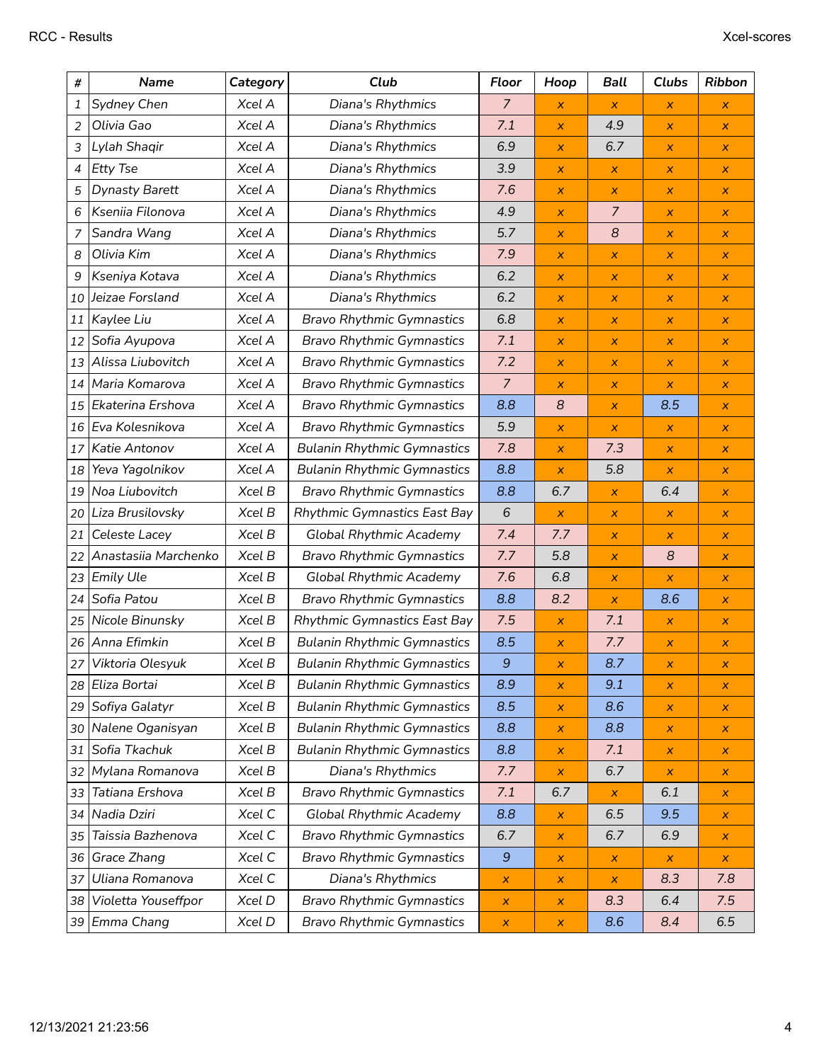| #              | <b>Name</b>           | Category | Club                               | Floor            | Hoop             | Ball                      | <b>Clubs</b>              | <b>Ribbon</b>             |
|----------------|-----------------------|----------|------------------------------------|------------------|------------------|---------------------------|---------------------------|---------------------------|
| 1              | Sydney Chen           | Xcel A   | Diana's Rhythmics                  | $\overline{7}$   | x                | $\boldsymbol{\mathsf{x}}$ | X                         | x                         |
| 2              | Olivia Gao            | Xcel A   | Diana's Rhythmics                  | 7.1              | X.               | 4.9                       | $\pmb{\times}$            | $\boldsymbol{\mathsf{x}}$ |
| 3              | Lylah Shaqir          | Xcel A   | Diana's Rhythmics                  | 6.9              | $\pmb{\times}$   | 6.7                       | $\pmb{\times}$            | $\boldsymbol{\mathsf{X}}$ |
| $\overline{4}$ | <b>Etty Tse</b>       | Xcel A   | Diana's Rhythmics                  | 3.9              | x                | X                         | $\boldsymbol{\mathsf{x}}$ | $\mathsf{x}$              |
| 5              | <b>Dynasty Barett</b> | Xcel A   | Diana's Rhythmics                  | 7.6              | X.               | $\boldsymbol{\mathsf{x}}$ | $\pmb{\times}$            | $\boldsymbol{\mathsf{X}}$ |
| 6              | Kseniia Filonova      | Xcel A   | Diana's Rhythmics                  | 4.9              | $\pmb{\times}$   | $\overline{7}$            | $\pmb{\times}$            | $\boldsymbol{x}$          |
| 7              | Sandra Wang           | Xcel A   | Diana's Rhythmics                  | 5.7              | X.               | 8                         | $\boldsymbol{\mathsf{x}}$ | $\mathsf{x}$              |
| 8              | Olivia Kim            | Xcel A   | Diana's Rhythmics                  | 7.9              | x                | $\boldsymbol{\mathsf{x}}$ | $\pmb{\times}$            | $\boldsymbol{\mathsf{X}}$ |
| 9              | Kseniya Kotava        | Xcel A   | Diana's Rhythmics                  | 6.2              | x                | $\boldsymbol{\mathsf{x}}$ | $\pmb{\times}$            | $\boldsymbol{x}$          |
| 10             | Jeizae Forsland       | Xcel A   | Diana's Rhythmics                  | 6.2              | x                | $\pmb{\times}$            | $\pmb{\times}$            | $\boldsymbol{\mathsf{X}}$ |
| 11             | Kaylee Liu            | Xcel A   | <b>Bravo Rhythmic Gymnastics</b>   | 6.8              | x                | $\boldsymbol{\mathsf{x}}$ | $\pmb{\times}$            | x                         |
| 12             | Sofia Ayupova         | Xcel A   | <b>Bravo Rhythmic Gymnastics</b>   | 7.1              | x                | $\boldsymbol{\mathsf{x}}$ | $\pmb{\times}$            | $\boldsymbol{\mathsf{X}}$ |
| 13             | Alissa Liubovitch     | Xcel A   | <b>Bravo Rhythmic Gymnastics</b>   | 7.2              | x                | $\pmb{\times}$            | $\pmb{\times}$            | $\boldsymbol{\mathsf{X}}$ |
| 14             | Maria Komarova        | Xcel A   | <b>Bravo Rhythmic Gymnastics</b>   | $\overline{7}$   | X.               | X                         | $\pmb{\times}$            | X.                        |
| 15             | Ekaterina Ershova     | Xcel A   | <b>Bravo Rhythmic Gymnastics</b>   | 8.8              | $\boldsymbol{8}$ | $\boldsymbol{\mathsf{x}}$ | 8.5                       | $\boldsymbol{\mathsf{X}}$ |
| 16             | Eva Kolesnikova       | Xcel A   | <b>Bravo Rhythmic Gymnastics</b>   | 5.9              | x                | $\pmb{\times}$            | $\pmb{\times}$            | $\boldsymbol{\mathsf{x}}$ |
| 17             | Katie Antonov         | Xcel A   | <b>Bulanin Rhythmic Gymnastics</b> | 7.8              | X.               | 7.3                       | X                         | $\pmb{\times}$            |
| 18             | Yeva Yagolnikov       | Xcel A   | <b>Bulanin Rhythmic Gymnastics</b> | 8.8              | x                | 5.8                       | $\boldsymbol{\mathsf{x}}$ | $\boldsymbol{\mathsf{X}}$ |
| 19             | Noa Liubovitch        | Xcel B   | <b>Bravo Rhythmic Gymnastics</b>   | 8.8              | 6.7              | $\pmb{\times}$            | 6.4                       | $\boldsymbol{\mathsf{X}}$ |
| 20             | Liza Brusilovsky      | Xcel B   | Rhythmic Gymnastics East Bay       | 6                | x                | $\pmb{\times}$            | X                         | X                         |
| 21             | Celeste Lacey         | Xcel B   | <b>Global Rhythmic Academy</b>     | 7.4              | 7.7              | $\pmb{\times}$            | $\pmb{\times}$            | $\boldsymbol{\mathsf{x}}$ |
| 22             | Anastasiia Marchenko  | Xcel B   | <b>Bravo Rhythmic Gymnastics</b>   | 7.7              | 5.8              | $\pmb{\times}$            | 8                         | $\boldsymbol{\mathsf{X}}$ |
| 23             | <b>Emily Ule</b>      | Xcel B   | <b>Global Rhythmic Academy</b>     | 7.6              | 6.8              | $\pmb{\times}$            | $\pmb{\times}$            | $\boldsymbol{\mathsf{X}}$ |
| 24             | Sofia Patou           | Xcel B   | <b>Bravo Rhythmic Gymnastics</b>   | 8.8              | 8.2              | $\boldsymbol{x}$          | 8.6                       | X.                        |
| 25             | Nicole Binunsky       | Xcel B   | Rhythmic Gymnastics East Bay       | 7.5              | x                | 7.1                       | $\pmb{\times}$            | $\boldsymbol{\mathsf{X}}$ |
| 26             | Anna Efimkin          | Xcel B   | <b>Bulanin Rhythmic Gymnastics</b> | 8.5              | x                | 7.7                       | $\pmb{\times}$            | x                         |
| 27             | Viktoria Olesyuk      | Xcel B   | <b>Bulanin Rhythmic Gymnastics</b> | $\boldsymbol{9}$ | x                | 8.7                       | $\pmb{\times}$            | $\pmb{\times}$            |
| 28             | Eliza Bortai          | Xcel B   | <b>Bulanin Rhythmic Gymnastics</b> | 8.9              | x                | 9.1                       | $\pmb{\times}$            | x                         |
| 29             | Sofiya Galatyr        | Xcel B   | <b>Bulanin Rhythmic Gymnastics</b> | 8.5              | x                | 8.6                       | X                         | X.                        |
| 30             | Nalene Oganisyan      | Xcel B   | <b>Bulanin Rhythmic Gymnastics</b> | 8.8              | x                | 8.8                       | X                         | x                         |
| 31             | Sofia Tkachuk         | Xcel B   | <b>Bulanin Rhythmic Gymnastics</b> | 8.8              | x                | 7.1                       | $\pmb{\times}$            | x                         |
| 32             | Mylana Romanova       | Xcel B   | Diana's Rhythmics                  | 7.7              | x                | 6.7                       | X                         | x                         |
| 33             | Tatiana Ershova       | Xcel B   | <b>Bravo Rhythmic Gymnastics</b>   | 7.1              | 6.7              | x                         | 6.1                       | x                         |
| 34             | Nadia Dziri           | Xcel C   | <b>Global Rhythmic Academy</b>     | 8.8              | $\pmb{\times}$   | 6.5                       | 9.5                       | x                         |
| 35             | Taissia Bazhenova     | Xcel C   | <b>Bravo Rhythmic Gymnastics</b>   | 6.7              | x                | 6.7                       | 6.9                       | x                         |
| 36             | Grace Zhang           | Xcel C   | <b>Bravo Rhythmic Gymnastics</b>   | $\boldsymbol{9}$ | x                | x                         | X                         | x                         |
| 37             | Uliana Romanova       | Xcel C   | Diana's Rhythmics                  | x                | $\pmb{\times}$   | $\pmb{\times}$            | 8.3                       | 7.8                       |
| 38             | Violetta Youseffpor   | Xcel D   | <b>Bravo Rhythmic Gymnastics</b>   | x                | x                | 8.3                       | 6.4                       | 7.5                       |
|                | 39 Emma Chang         | Xcel D   | <b>Bravo Rhythmic Gymnastics</b>   | $\pmb{\times}$   | x                | 8.6                       | 8.4                       | 6.5                       |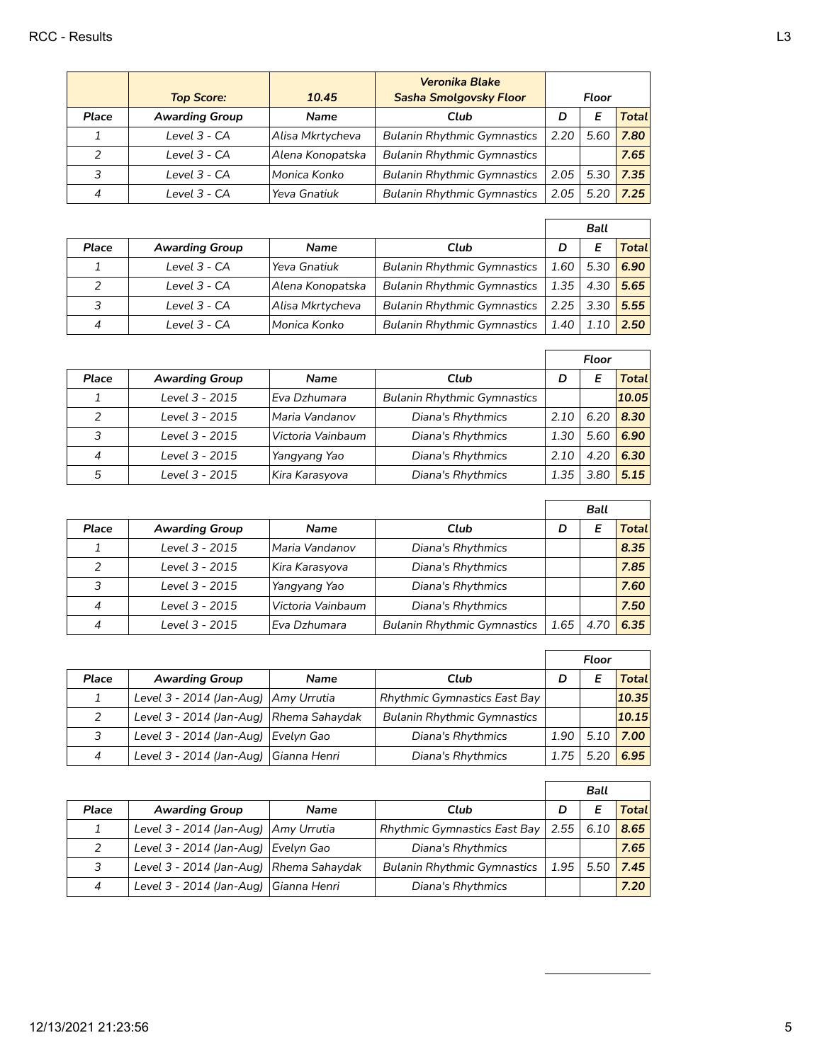|       | <b>Top Score:</b>     | 10.45            | <b>Veronika Blake</b><br><b>Sasha Smolgovsky Floor</b> |      | Floor |        |
|-------|-----------------------|------------------|--------------------------------------------------------|------|-------|--------|
| Place | <b>Awarding Group</b> | Name             | Club                                                   | D    | Е     | Totall |
|       | Level 3 - CA          | Alisa Mkrtycheva | <b>Bulanin Rhythmic Gymnastics</b>                     | 2.20 | 5.60  | 7.80   |
|       | Level 3 - CA          | Alena Konopatska | <b>Bulanin Rhythmic Gymnastics</b>                     |      |       | 7.65   |
| 3     | Level 3 - CA          | lMonica Konko    | <b>Bulanin Rhythmic Gymnastics</b>                     | 2.05 | 5.30  | 7.35   |
|       | Level 3 - CA          | Yeva Gnatiuk     | <b>Bulanin Rhythmic Gymnastics</b>                     | 2.05 | 5.20  | 7.25   |

|              |                       |                  |                                    |      | <b>Ball</b>   |              |
|--------------|-----------------------|------------------|------------------------------------|------|---------------|--------------|
| <b>Place</b> | <b>Awarding Group</b> | Name             | Club                               | D    |               | <b>Total</b> |
|              | Level 3 - CA          | Yeva Gnatiuk     | <b>Bulanin Rhythmic Gymnastics</b> |      | $1.60$   5.30 | 6.90         |
|              | Level 3 - CA          | Alena Konopatska | <b>Bulanin Rhythmic Gymnastics</b> | 1.35 | 4.30          | 5.65         |
| 3            | Level 3 - CA          | Alisa Mkrtycheva | <b>Bulanin Rhythmic Gymnastics</b> | 2.25 | 3.30          | 5.55         |
|              | Level 3 - CA          | lMonica Konko    | <b>Bulanin Rhythmic Gymnastics</b> | 1.40 |               | 2.50         |

|       |                       |                   |                                    |      | Floor |       |
|-------|-----------------------|-------------------|------------------------------------|------|-------|-------|
| Place | <b>Awarding Group</b> | <b>Name</b>       | Club                               | D    | Е     | Total |
|       | Level 3 - 2015        | l Eva Dzhumara    | <b>Bulanin Rhythmic Gymnastics</b> |      |       | 10.05 |
| 2     | Level 3 - 2015        | Maria Vandanov    | Diana's Rhythmics                  | 2.10 | 6.20  | 8.30  |
| 3     | Level 3 - 2015        | Victoria Vainbaum | Diana's Rhythmics                  | 1.30 | 5.60  | 6.90  |
| 4     | Level 3 - 2015        | Yangyang Yao      | Diana's Rhythmics                  | 2.10 | 4.20  | 6.30  |
| 5     | Level 3 - 2015        | Kira Karasyova    | Diana's Rhythmics                  | 1.35 | 3.80  | 5.15  |

|               |                       |                   |                                    |      | Ball |        |
|---------------|-----------------------|-------------------|------------------------------------|------|------|--------|
| Place         | <b>Awarding Group</b> | <b>Name</b>       | Club                               | D    |      | Totall |
|               | Level 3 - 2015        | Maria Vandanov    | Diana's Rhythmics                  |      |      | 8.35   |
| $\mathcal{P}$ | Level 3 - 2015        | Kira Karasyova    | Diana's Rhythmics                  |      |      | 7.85   |
| 3             | Level 3 - 2015        | Yangyang Yao      | Diana's Rhythmics                  |      |      | 7.60   |
|               | Level 3 - 2015        | Victoria Vainbaum | Diana's Rhythmics                  |      |      | 7.50   |
|               | Level 3 - 2015        | Eva Dzhumara      | <b>Bulanin Rhythmic Gymnastics</b> | 1.65 | 4.70 | 6.35   |

|       |                                         |                                     |                                    | Floor |      |        |
|-------|-----------------------------------------|-------------------------------------|------------------------------------|-------|------|--------|
| Place | <b>Awarding Group</b>                   | <b>Name</b>                         | Club                               |       |      | Totall |
|       | Level 3 - 2014 (Jan-Aug)   Amy Urrutia  | <b>Rhythmic Gymnastics East Bay</b> |                                    |       |      | 10.35  |
|       | Level 3 - 2014 (Jan-Aug) Rhema Sahaydak |                                     | <b>Bulanin Rhythmic Gymnastics</b> |       |      | 10.15  |
|       | Level 3 - 2014 (Jan-Aug) Evelyn Gao     |                                     | Diana's Rhythmics                  | 1.90  | 5.10 | 7.00   |
| 4     | Level 3 - 2014 (Jan-Aug) Gianna Henri   |                                     | Diana's Rhythmics                  | 1.75  | 5.20 | 6.95   |

|       |                                         |             |                                     | Ball   |      |              |
|-------|-----------------------------------------|-------------|-------------------------------------|--------|------|--------------|
| Place | <b>Awarding Group</b>                   | <b>Name</b> | Club                                | D      |      | <b>Total</b> |
|       | Level 3 - 2014 (Jan-Aug)   Amy Urrutia  |             | <b>Rhythmic Gymnastics East Bay</b> | $2.55$ | 6.10 | 8.65         |
|       | Level 3 - 2014 (Jan-Aug) Evelyn Gao     |             | Diana's Rhythmics                   |        |      | 7.65         |
| 3     | Level 3 - 2014 (Jan-Aug) Rhema Sahaydak |             | <b>Bulanin Rhythmic Gymnastics</b>  | 1.95   | 5.50 | 7.45         |
| 4     | Level 3 - 2014 (Jan-Aug) Gianna Henri   |             | Diana's Rhythmics                   |        |      | 7.20         |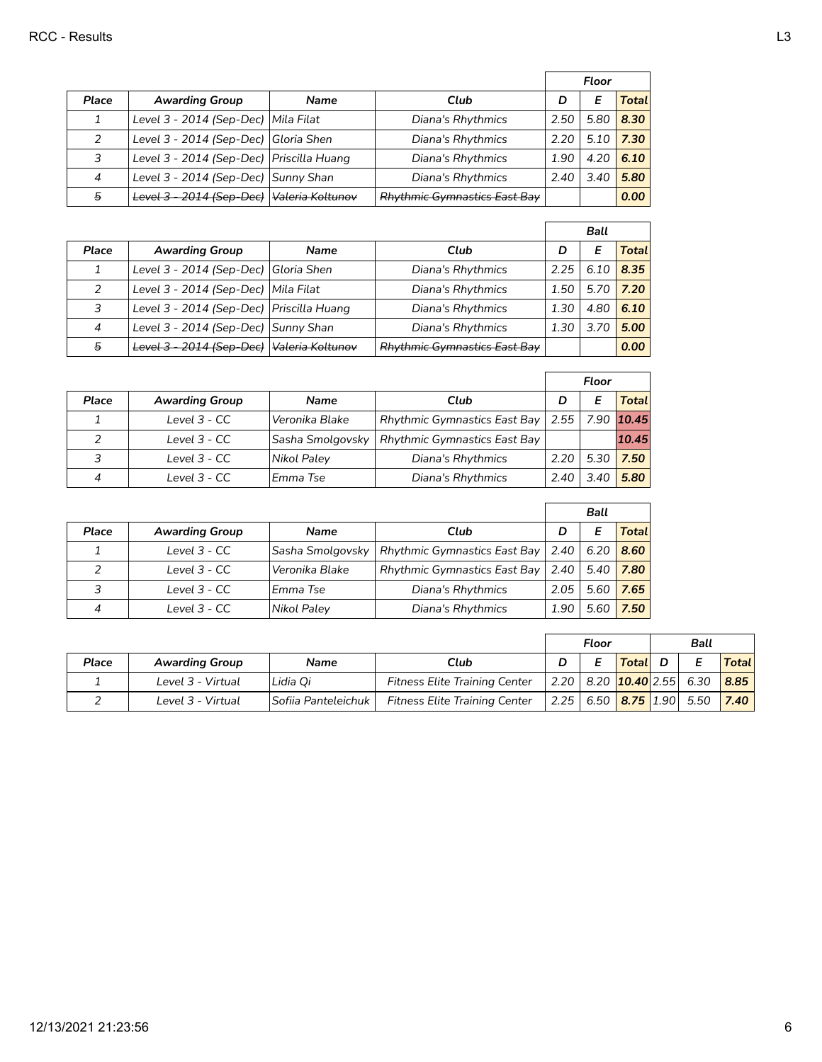|               |                                            |                               |                                     | Floor |      |              |
|---------------|--------------------------------------------|-------------------------------|-------------------------------------|-------|------|--------------|
| <b>Place</b>  | <b>Awarding Group</b>                      | <b>Name</b>                   | Club                                | D     | E    | <b>Total</b> |
|               | Level 3 - 2014 (Sep-Dec)   Mila Filat      |                               | Diana's Rhythmics                   | 2.50  | 5.80 | 8.30         |
| $\mathcal{P}$ | Level 3 - 2014 (Sep-Dec) Gloria Shen       |                               | Diana's Rhythmics                   | 2.20  | 5.10 | 7.30         |
| 3             | Level 3 - 2014 (Sep-Dec)   Priscilla Huang |                               | Diana's Rhythmics                   |       | 4.20 | 6.10         |
| 4             | Level 3 - 2014 (Sep-Dec) Sunny Shan        |                               | Diana's Rhythmics                   | 2.40  | 3.40 | 5.80         |
| 5             | Level 3 - 2014 (Sep-Dec)                   | l <del>Valeria Koltunov</del> | <b>Rhythmic Gymnastics East Bay</b> |       |      | 0.00         |

|                |                                             |             |                                     | <b>Ball</b> |      |                      |
|----------------|---------------------------------------------|-------------|-------------------------------------|-------------|------|----------------------|
| Place          | <b>Awarding Group</b>                       | <b>Name</b> | Club                                | D           | Е    | <b>Total</b>         |
| 1              | Level 3 - 2014 (Sep-Dec) Gloria Shen        |             | Diana's Rhythmics                   | 2.25        | 6.10 | 8.35                 |
| $\mathcal{P}$  | Level 3 - 2014 (Sep-Dec)   Mila Filat       |             | Diana's Rhythmics                   | 1.50        | 5.70 | $\vert$ 7.20 $\vert$ |
| 3              | Level 3 - 2014 (Sep-Dec)   Priscilla Huang  |             | Diana's Rhythmics                   | 1.30        | 4.80 | 6.10                 |
| $\overline{4}$ | Level 3 - 2014 (Sep-Dec) Sunny Shan         |             | Diana's Rhythmics                   | 1.30        | 3.70 | 5.00                 |
| 5              | Level 3 - 2014 (Sep-Dec)   Valeria Koltunov |             | <b>Rhythmic Gymnastics East Bay</b> |             |      | 0.00                 |

|       |                       |                                                       |                                     | Floor       |      |        |
|-------|-----------------------|-------------------------------------------------------|-------------------------------------|-------------|------|--------|
| Place | <b>Awarding Group</b> | <b>Name</b>                                           | Club                                | E<br>D      |      | Totall |
|       | Level 3 - CC          | <b>Rhythmic Gymnastics East Bay</b><br>Veronika Blake |                                     | 2.55   7.90 |      | 10.45  |
|       | Level 3 - CC          | Sasha Smolgovsky                                      | <b>Rhythmic Gymnastics East Bay</b> |             |      | 10.45  |
| 3     | Level 3 - CC          | Diana's Rhythmics<br>Nikol Paley                      |                                     | 2.20        | 5.30 | 7.50   |
|       | Level $3 - CC$        | Emma Tse                                              | Diana's Rhythmics                   | 2.40        | 3.40 | 5.80   |

|       |                       |                                                       |                                            | Ball |      |        |
|-------|-----------------------|-------------------------------------------------------|--------------------------------------------|------|------|--------|
| Place | <b>Awarding Group</b> | <b>Name</b>                                           | Club                                       | D    |      | Totall |
|       | Level 3 - CC          | Sasha Smolgovsky                                      | Rhythmic Gymnastics East Bay   2.40   6.20 |      |      | 8.60   |
|       | Level 3 - CC          | <b>Rhythmic Gymnastics East Bay</b><br>Veronika Blake |                                            | 2.40 | 5.40 | 7.80   |
| 3     | Level 3 - CC          | Emma Tse                                              | Diana's Rhythmics                          | 2.05 | 5.60 | 7.65   |
|       | Level 3 - CC          | Nikol Paley                                           | Diana's Rhythmics                          | 1.90 | 5.60 | 7.50   |

|       |                       |                     |                                      | Ball<br>Floor |                                          |                            |  |        |
|-------|-----------------------|---------------------|--------------------------------------|---------------|------------------------------------------|----------------------------|--|--------|
| Place | <b>Awarding Group</b> | <b>Name</b>         | Club                                 |               |                                          | Total D                    |  | Totall |
|       | Level 3 - Virtual     | Lidia Oi            | <b>Fitness Elite Training Center</b> |               | $2.20$   8.20 $\sqrt{10.40}$ 2.55   6.30 |                            |  | 8.85   |
|       | Level 3 - Virtual     | Sofiia Panteleichuk | <b>Fitness Elite Training Center</b> | 2.25          |                                          | 6.50 <b>8.75</b> 1.90 5.50 |  | 7.40   |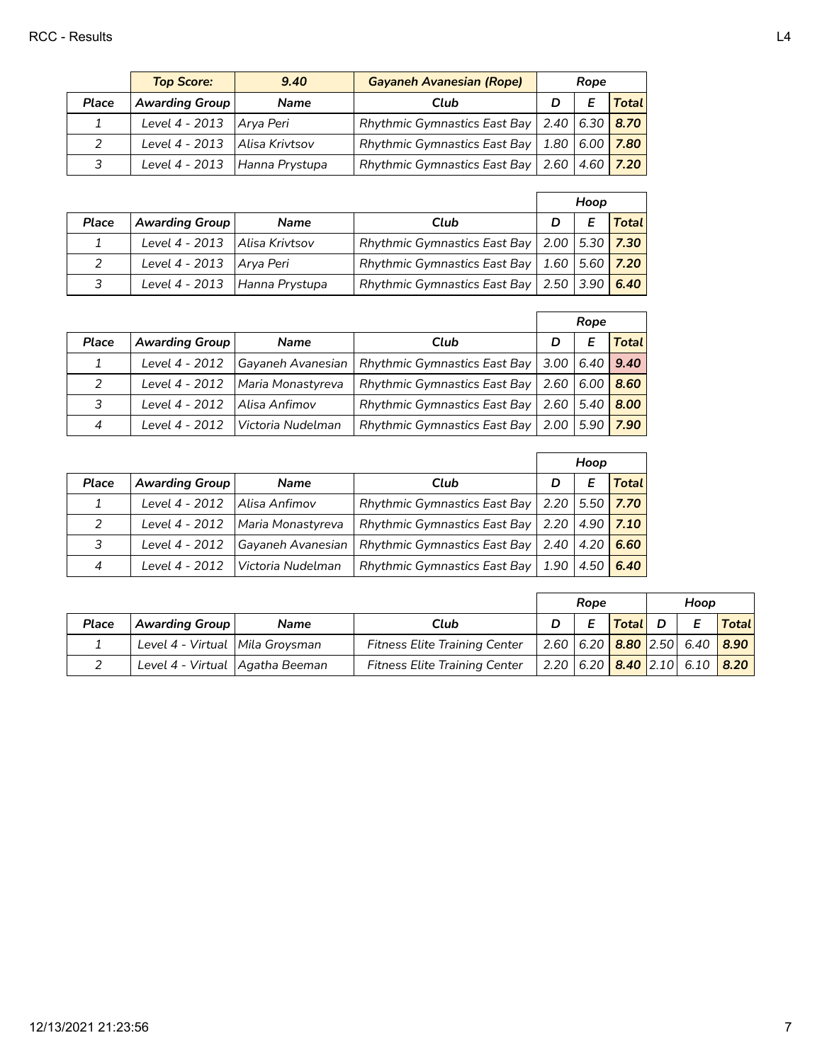|               | <b>Top Score:</b>               | 9.40        | <b>Gayaneh Avanesian (Rope)</b>                               | Rope |  |              |
|---------------|---------------------------------|-------------|---------------------------------------------------------------|------|--|--------------|
| Place         | <b>Awarding Group</b>           | <b>Name</b> | Club                                                          |      |  | <b>Total</b> |
|               | Level $4 - 2013$   Arya Peri    |             | Rhythmic Gymnastics East Bay   2.40 $\vert$ 6.30 $\vert$ 8.70 |      |  |              |
| $\mathcal{P}$ | Level 4 - 2013   Alisa Krivtsov |             | Rhythmic Gymnastics East Bay   1.80   6.00 $\sqrt{7.80}$      |      |  |              |
| 3             | Level 4 - 2013   Hanna Prystupa |             | Rhythmic Gymnastics East Bay   2.60   4.60   $7.20$           |      |  |              |

|               |                                 |             |                                                          | Hoop |   |              |
|---------------|---------------------------------|-------------|----------------------------------------------------------|------|---|--------------|
| Place         | Awarding Group                  | <b>Name</b> | Club                                                     |      | E | <b>Total</b> |
|               | Level 4 - 2013   Alisa Krivtsov |             | Rhythmic Gymnastics East Bay   2.00   5.30 $\sqrt{7.30}$ |      |   |              |
| $\mathcal{L}$ | Level $4 - 2013$   Arya Peri    |             | Rhythmic Gymnastics East Bay   1.60   5.60 $\sqrt{7.20}$ |      |   |              |
| 3             | Level 4 - 2013   Hanna Prystupa |             | Rhythmic Gymnastics East Bay   2.50   3.90 $\sqrt{6.40}$ |      |   |              |

|       |                       |                   |                                     | Rope             |             |       |
|-------|-----------------------|-------------------|-------------------------------------|------------------|-------------|-------|
| Place | <b>Awarding Group</b> | <b>Name</b>       | Club                                | D                |             | Total |
| 1     | Level 4 - 2012        | Gayaneh Avanesian | <b>Rhythmic Gymnastics East Bay</b> | $3.00 \mid 6.40$ |             | 9.40  |
| 2     | Level 4 - 2012        | Maria Monastyreva | <b>Rhythmic Gymnastics East Bay</b> |                  | 2.60   6.00 | 8.60  |
| 3     | Level 4 - 2012        | Alisa Anfimov     | Rhythmic Gymnastics East Bay        | 2.60 l           | 5.40        | 8.00  |
| 4     | Level 4 - 2012        | Victoria Nudelman | <b>Rhythmic Gymnastics East Bay</b> | 2.00             | 5.90        | 7.90  |

|               |                       |                                                                           |                                     | Hoop             |      |       |
|---------------|-----------------------|---------------------------------------------------------------------------|-------------------------------------|------------------|------|-------|
| Place         | <b>Awarding Group</b> | <b>Name</b>                                                               | Club                                |                  | Е    | Total |
| 1             | Level 4 - 2012        | Rhythmic Gymnastics East Bay   2.20   5.50 $\sqrt{7.70}$<br>Alisa Anfimov |                                     |                  |      |       |
| $\mathcal{P}$ | Level 4 - 2012        | Maria Monastyreva                                                         | Rhythmic Gymnastics East Bay   2.20 |                  | 4.90 | 7.10  |
| 3             | Level 4 - 2012        | Gayaneh Avanesian                                                         | <b>Rhythmic Gymnastics East Bay</b> | $2.40 \mid 4.20$ |      | 6.60  |
| 4             | Level 4 - 2012        | l Victoria Nudelman                                                       | Rhythmic Gymnastics East Bay        | 1.90             | 4.50 | 6.40  |

|       |                                   |             |                                      | Rope |         | Hoop                                            |              |
|-------|-----------------------------------|-------------|--------------------------------------|------|---------|-------------------------------------------------|--------------|
| Place | <b>Awarding Group</b>             | <b>Name</b> | Club                                 | E    | Total D |                                                 | <b>Total</b> |
|       | Level 4 - Virtual   Mila Groysman |             | <b>Fitness Elite Training Center</b> |      |         | 2.60 6.20 <b>8.80</b> 2.50 6.40 <b>8.90</b>     |              |
|       | Level 4 - Virtual   Agatha Beeman |             | <b>Fitness Elite Training Center</b> |      |         | 2.20 $ 6.20 $ <b>8.40</b> 2.10 6.10 <b>8.20</b> |              |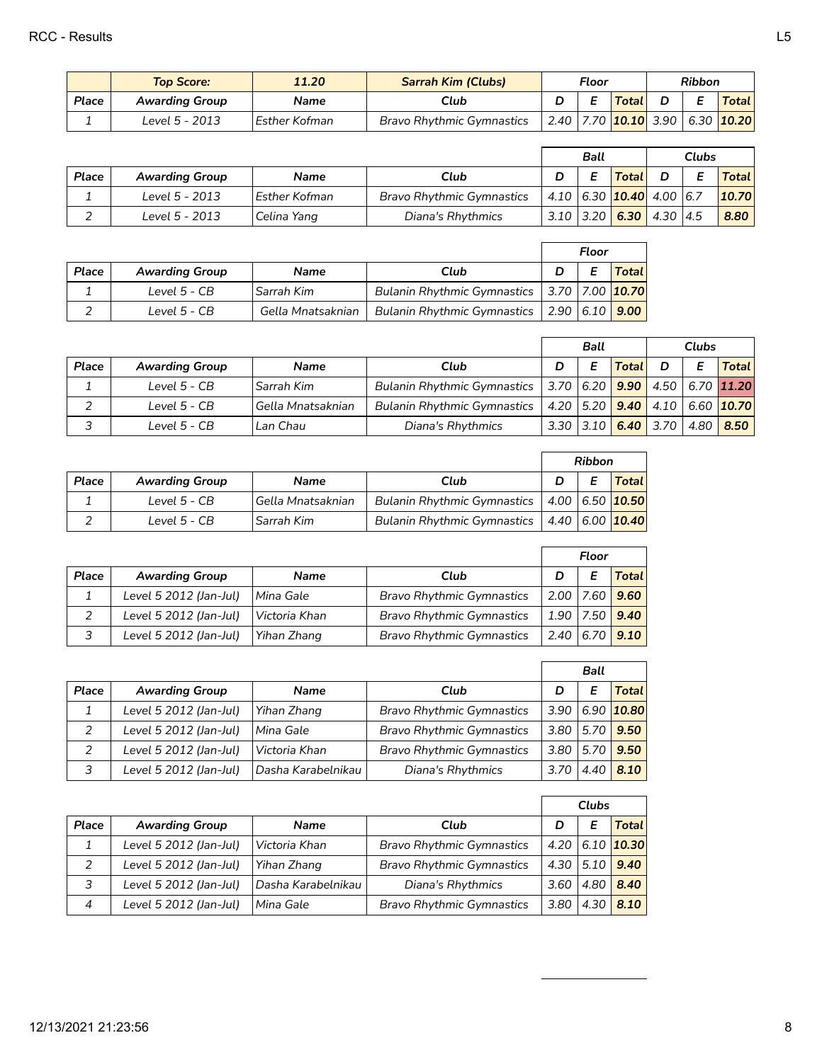|       | Top Score:            | 11.20           | <b>Sarrah Kim (Clubs)</b><br>Floor |  | <b>Ribbon</b> |  |              |  |                                               |
|-------|-----------------------|-----------------|------------------------------------|--|---------------|--|--------------|--|-----------------------------------------------|
| Place | <b>Awarding Group</b> | Name            | <b>Total</b><br>Club               |  |               |  | <b>Total</b> |  |                                               |
|       | Level 5 - 2013        | l Esther Kofman | <b>Bravo Rhythmic Gymnastics</b>   |  |               |  |              |  | 2.40 7.70 <b>10.10</b> 3.90 6.30 <b>10.20</b> |

|       |                       |                 | Ball                             |  | <b>Clubs</b>                      |  |              |
|-------|-----------------------|-----------------|----------------------------------|--|-----------------------------------|--|--------------|
| Place | <b>Awarding Group</b> | Name            | Club                             |  | <b>Total</b>                      |  | <b>Total</b> |
|       | Level 5 - 2013        | l Esther Kofman | <b>Bravo Rhythmic Gymnastics</b> |  | 4.10 6.30 <b>10.40</b> 4.00 6.7   |  | 10.70        |
|       | Level 5 - 2013        | Celina Yang     | Diana's Rhythmics                |  | $3.10$   3.20   6.30   4.30   4.5 |  | 8.80         |

|       |                       |                   |                                                   | Floor |  |              |
|-------|-----------------------|-------------------|---------------------------------------------------|-------|--|--------------|
| Place | <b>Awarding Group</b> | <b>Name</b>       | Club                                              |       |  | <b>Total</b> |
|       | Level 5 - CB          | Sarrah Kim        | Bulanin Rhythmic Gymnastics   3.70   7.00   10.70 |       |  |              |
|       | Level 5 - CB          | Gella Mnatsaknian | Bulanin Rhythmic Gymnastics   2.90   6.10   9.00  |       |  |              |

|       |                       |                   | Ball                                                                   |  |   | <b>Clubs</b>                  |  |   |                                          |
|-------|-----------------------|-------------------|------------------------------------------------------------------------|--|---|-------------------------------|--|---|------------------------------------------|
| Place | <b>Awarding Group</b> | <b>Name</b>       | Club<br>D                                                              |  | Е | <b>Total</b>                  |  | Е | <b>Total</b>                             |
|       | Level 5 - CB          | Sarrah Kim        | Bulanin Rhythmic Gymnastics   3.70   6.20   9.90   4.50   6.70   11.20 |  |   |                               |  |   |                                          |
|       | Level 5 - CB          | Gella Mnatsaknian | <b>Bulanin Rhythmic Gymnastics</b>                                     |  |   |                               |  |   | 4.20   5.20   9.40   4.10   6.60   10.70 |
| 3     | Level 5 - CB          | Lan Chau          | Diana's Rhythmics                                                      |  |   | 3.30 3.10 6.40 3.70 4.80 8.50 |  |   |                                          |

|       |                       |                     |                                                   | <b>Ribbon</b> |  |                     |
|-------|-----------------------|---------------------|---------------------------------------------------|---------------|--|---------------------|
| Place | <b>Awarding Group</b> | <b>Name</b>         | Club                                              |               |  | <b>Total</b>        |
|       | Level 5 - CB          | 'Gella Mnatsaknian' | Bulanin Rhythmic Gymnastics   4.00   6.50   10.50 |               |  |                     |
|       | Level 5 - CB          | Sarrah Kim          | <b>Bulanin Rhythmic Gymnastics</b>                |               |  | $ 4.40 6.00 $ 10.40 |

| Place | <b>Awarding Group</b>  | <b>Name</b>   | Club                             | D           |  | <b>Total</b>       |
|-------|------------------------|---------------|----------------------------------|-------------|--|--------------------|
|       | Level 5 2012 (Jan-Jul) | l Mina Gale   | <b>Bravo Rhythmic Gymnastics</b> |             |  | 2.00   7.60   9.60 |
|       | Level 5 2012 (Jan-Jul) | Victoria Khan | <b>Bravo Rhythmic Gymnastics</b> | 1.90   7.50 |  | 9.40               |
|       | Level 5 2012 (Jan-Jul) | Yihan Zhang   | <b>Bravo Rhythmic Gymnastics</b> |             |  | 2.40   6.70   9.10 |

|       |                        |                    |                                  | <b>Ball</b> |      |              |
|-------|------------------------|--------------------|----------------------------------|-------------|------|--------------|
| Place | <b>Awarding Group</b>  | <b>Name</b>        | Club                             | D           |      | <b>Total</b> |
|       | Level 5 2012 (Jan-Jul) | Yihan Zhang        | <b>Bravo Rhythmic Gymnastics</b> | 3.90        |      | $6.90$ 10.80 |
|       | Level 5 2012 (Jan-Jul) | Mina Gale          | <b>Bravo Rhythmic Gymnastics</b> | 3.80        | 5.70 | 9.50         |
|       | Level 5 2012 (Jan-Jul) | Victoria Khan      | <b>Bravo Rhythmic Gymnastics</b> | 3.80        | 5.70 | 9.50         |
|       | Level 5 2012 (Jan-Jul) | Dasha Karabelnikau | Diana's Rhythmics                | 3.70        |      | 8.10         |

|                |                        |                    |                                  | Clubs |      |              |
|----------------|------------------------|--------------------|----------------------------------|-------|------|--------------|
| Place          | <b>Awarding Group</b>  | Name               | Club                             | D     | Е    | Total l      |
|                | Level 5 2012 (Jan-Jul) | Victoria Khan      | <b>Bravo Rhythmic Gymnastics</b> | 4.20  |      | $6.10$ 10.30 |
|                | Level 5 2012 (Jan-Jul) | Yihan Zhang        | <b>Bravo Rhythmic Gymnastics</b> | 4.30  | 5.10 | 9.40         |
| 3              | Level 5 2012 (Jan-Jul) | Dasha Karabelnikau | Diana's Rhythmics                | 3.60  | 4.80 | 8.40         |
| $\overline{4}$ | Level 5 2012 (Jan-Jul) | Mina Gale          | <b>Bravo Rhythmic Gymnastics</b> | 3.80  | 4.30 | 8.10         |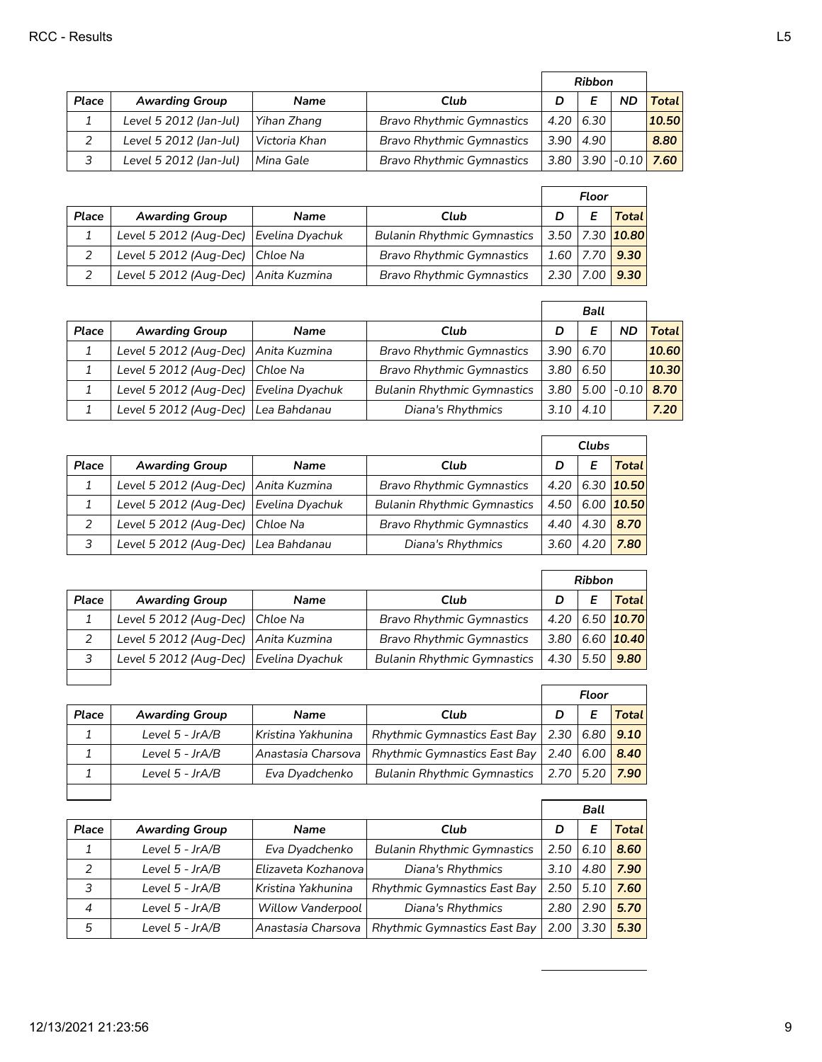|       |                        |               |                                  | <b>Ribbon</b> |               |           |                                           |
|-------|------------------------|---------------|----------------------------------|---------------|---------------|-----------|-------------------------------------------|
| Place | <b>Awarding Group</b>  | <b>Name</b>   | Club                             | D             | E             | <b>ND</b> | <b>Total</b>                              |
|       | Level 5 2012 (Jan-Jul) | Yihan Zhang   | <b>Bravo Rhythmic Gymnastics</b> |               | 4.20 6.30     |           | 10.50                                     |
|       | Level 5 2012 (Jan-Jul) | Victoria Khan | <b>Bravo Rhythmic Gymnastics</b> |               | $3.90$   4.90 |           | 8.80                                      |
|       | Level 5 2012 (Jan-Jul) | l Mina Gale   | <b>Bravo Rhythmic Gymnastics</b> |               |               |           | 3.80 3.90 $\mid$ -0.10 $\mid$ 7.60 $\mid$ |

|       |                                        |             |                                    | Floor                     |  |                                  |
|-------|----------------------------------------|-------------|------------------------------------|---------------------------|--|----------------------------------|
| Place | <b>Awarding Group</b>                  | <b>Name</b> | Club                               |                           |  | Total                            |
|       | Level 5 2012 (Aug-Dec) Evelina Dyachuk |             | <b>Bulanin Rhythmic Gymnastics</b> |                           |  | 3.50   7.30   <mark>10.80</mark> |
|       | Level 5 2012 (Aug-Dec) Chloe Na        |             | <b>Bravo Rhythmic Gymnastics</b>   | 1.60   7.70   <b>9.30</b> |  |                                  |
|       | Level 5 2012 (Aug-Dec) Anita Kuzmina   |             | <b>Bravo Rhythmic Gymnastics</b>   | $2.30$   7.00             |  | 9.30                             |

|       |                                        |                 |                                    | <b>Ball</b> |      |                |       |
|-------|----------------------------------------|-----------------|------------------------------------|-------------|------|----------------|-------|
| Place | <b>Awarding Group</b>                  | <b>Name</b>     | Club                               | D           |      | <b>ND</b>      | Total |
|       | Level 5 2012 (Aug-Dec)   Anita Kuzmina |                 | <b>Bravo Rhythmic Gymnastics</b>   | 3.90        | 6.70 |                | 10.60 |
|       | Level 5 2012 (Aug-Dec) Chloe Na        |                 | <b>Bravo Rhythmic Gymnastics</b>   | 3.80        | 6.50 |                | 10.30 |
|       | Level 5 2012 (Aug-Dec)                 | Evelina Dyachuk | <b>Bulanin Rhythmic Gymnastics</b> | 3.80        |      | $5.00$ $-0.10$ | 8.70  |
|       | Level 5 2012 (Aug-Dec) Lea Bahdanau    |                 | Diana's Rhythmics                  | 3.10        | 4.10 |                | 7.20  |

|       |                                          |              |                                    | Clubs |      |                |
|-------|------------------------------------------|--------------|------------------------------------|-------|------|----------------|
| Place | <b>Awarding Group</b>                    | <b>Name</b>  | Club                               | D     |      | Total l        |
|       | Level 5 2012 (Aug-Dec)   Anita Kuzmina   |              | <b>Bravo Rhythmic Gymnastics</b>   | 4.20  |      | 6.30 $10.50$   |
|       | Level 5 2012 (Aug-Dec)   Evelina Dyachuk |              | <b>Bulanin Rhythmic Gymnastics</b> | 4.50  |      | $6.00$   10.50 |
|       | Level 5 2012 (Aug-Dec) Chloe Na          |              | <b>Bravo Rhythmic Gymnastics</b>   | 4.40  |      | $4.30$ 8.70    |
|       | Level 5 2012 (Aug-Dec)                   | Lea Bahdanau | Diana's Rhythmics                  | 3.60  | 4.20 | 7.80           |

|       |                                      |                 |                                    | <b>Ribbon</b> |      |                |
|-------|--------------------------------------|-----------------|------------------------------------|---------------|------|----------------|
| Place | <b>Awarding Group</b>                | Name            | Club                               | D             |      | Total          |
|       | Level 5 2012 (Aug-Dec) Chloe Na      |                 | <b>Bravo Rhythmic Gymnastics</b>   | 4.20          |      | 6.50 $10.70$   |
|       | Level 5 2012 (Aug-Dec) Anita Kuzmina |                 | <b>Bravo Rhythmic Gymnastics</b>   | 3.80          |      | $6.60$   10.40 |
| 3     | Level 5 2012 (Aug-Dec)               | Evelina Dyachuk | <b>Bulanin Rhythmic Gymnastics</b> | 4.30          | 5.50 | 9.80           |
|       |                                      |                 |                                    |               |      |                |

|       |                       |                    |                                                   | Floor |  |                       |
|-------|-----------------------|--------------------|---------------------------------------------------|-------|--|-----------------------|
| Place | <b>Awarding Group</b> | <b>Name</b>        | Club                                              | D     |  | <b>Total</b>          |
|       | Level $5$ - JrA/B     | Kristina Yakhunina | Rhythmic Gymnastics East Bay   2.30   6.80   9.10 |       |  |                       |
|       | Level $5$ - JrA/B     | Anastasia Charsova | Rhythmic Gymnastics East Bay   2.40   6.00   8.40 |       |  |                       |
|       | Level $5$ - JrA/B     | Eva Dyadchenko     | <b>Bulanin Rhythmic Gymnastics</b>                |       |  | 2.70 5.20 <b>7.90</b> |

|                  |                       |                          |                                     | Ball |      |              |
|------------------|-----------------------|--------------------------|-------------------------------------|------|------|--------------|
| Place            | <b>Awarding Group</b> | <b>Name</b>              | Club                                | D    | Е    | <b>Total</b> |
|                  | Level 5 - JrA/B       | Eva Dyadchenko           | <b>Bulanin Rhythmic Gymnastics</b>  | 2.50 | 6.10 | 8.60         |
| $\mathcal{P}$    | Level 5 - JrA/B       | Elizaveta Kozhanoval     | Diana's Rhythmics                   | 3.10 | 4.80 | 7.90         |
| 3                | Level 5 - JrA/B       | Kristina Yakhunina       | <b>Rhythmic Gymnastics East Bay</b> | 2.50 | 5.10 | 7.60         |
| $\boldsymbol{4}$ | Level 5 - JrA/B       | <b>Willow Vanderpool</b> | Diana's Rhythmics                   | 2.80 | 2.90 | 5.70         |
| 5                | Level 5 - JrA/B       | Anastasia Charsova       | <b>Rhythmic Gymnastics East Bay</b> | 2.00 | 3.30 | 5.30         |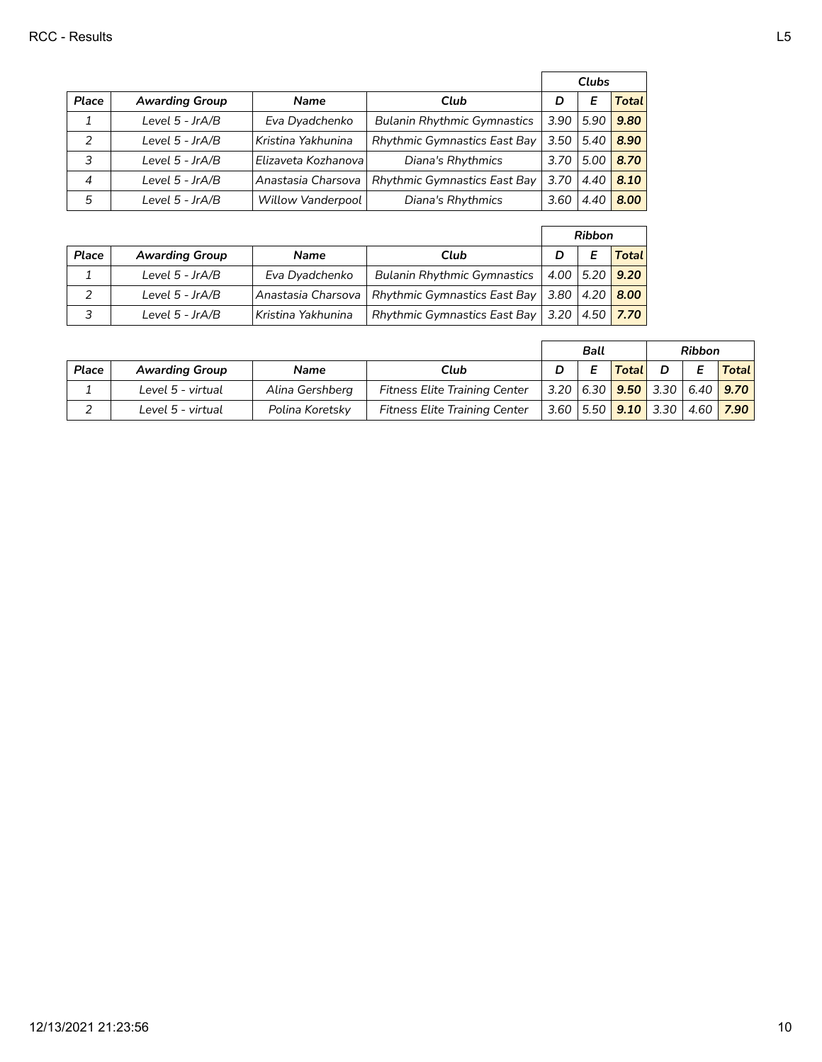|               |                       |                      |                                     | Clubs             |      |              |
|---------------|-----------------------|----------------------|-------------------------------------|-------------------|------|--------------|
| Place         | <b>Awarding Group</b> | <b>Name</b>          | Club                                | D                 | Е    | <b>Total</b> |
|               | Level 5 - JrA/B       | Eva Dyadchenko       | <b>Bulanin Rhythmic Gymnastics</b>  | 3.90              | 5.90 | 9.80         |
| $\mathcal{P}$ | Level 5 - JrA/B       | Kristina Yakhunina   | <b>Rhythmic Gymnastics East Bay</b> | 3.50              | 5.40 | 8.90         |
| 3             | Level 5 - JrA/B       | Elizaveta Kozhanoval | Diana's Rhythmics                   | 3.70 <sub>1</sub> | 5.00 | 8.70         |
| 4             | Level 5 - JrA/B       | Anastasia Charsova   | <b>Rhythmic Gymnastics East Bay</b> | 3.70              | 4.40 | 8.10         |
| 5             | Level 5 - JrA/B       | Willow Vanderpool    | Diana's Rhythmics                   | 3.60              | 4.40 | 8.00         |

|       |                       |                    |                                                          | <b>Ribbon</b> |  |                |
|-------|-----------------------|--------------------|----------------------------------------------------------|---------------|--|----------------|
| Place | <b>Awarding Group</b> | <b>Name</b>        | Club                                                     |               |  | <b>Total</b>   |
|       | Level $5$ - JrA/B     | Eva Dyadchenko     | <b>Bulanin Rhythmic Gymnastics</b>                       |               |  | 4.00 5.20 9.20 |
|       | Level $5$ - JrA/B     | Anastasia Charsova | Rhythmic Gymnastics East Bay   3.80   4.20 $\sqrt{8.00}$ |               |  |                |
|       | Level $5$ - JrA/B     | Kristina Yakhunina | Rhythmic Gymnastics East Bay   3.20   4.50 $\sqrt{7.70}$ |               |  |                |

|       |                       |                 |                                      | <b>Ribbon</b><br><b>Ball</b> |       |                                                                     |              |
|-------|-----------------------|-----------------|--------------------------------------|------------------------------|-------|---------------------------------------------------------------------|--------------|
| Place | <b>Awarding Group</b> | <b>Name</b>     | Club                                 | E                            | Total |                                                                     | <b>Total</b> |
|       | Level 5 - virtual     | Alina Gershberg | <b>Fitness Elite Training Center</b> |                              |       | 3.20   6.30 <mark>  9.50  </mark> 3.30   6.40 <mark>  9.70  </mark> |              |
| ∽     | Level 5 - virtual     | Polina Koretsky | <b>Fitness Elite Training Center</b> |                              |       | 3.60   5.50   <b>9.10</b>   3.30   4.60   <b>7.90</b>               |              |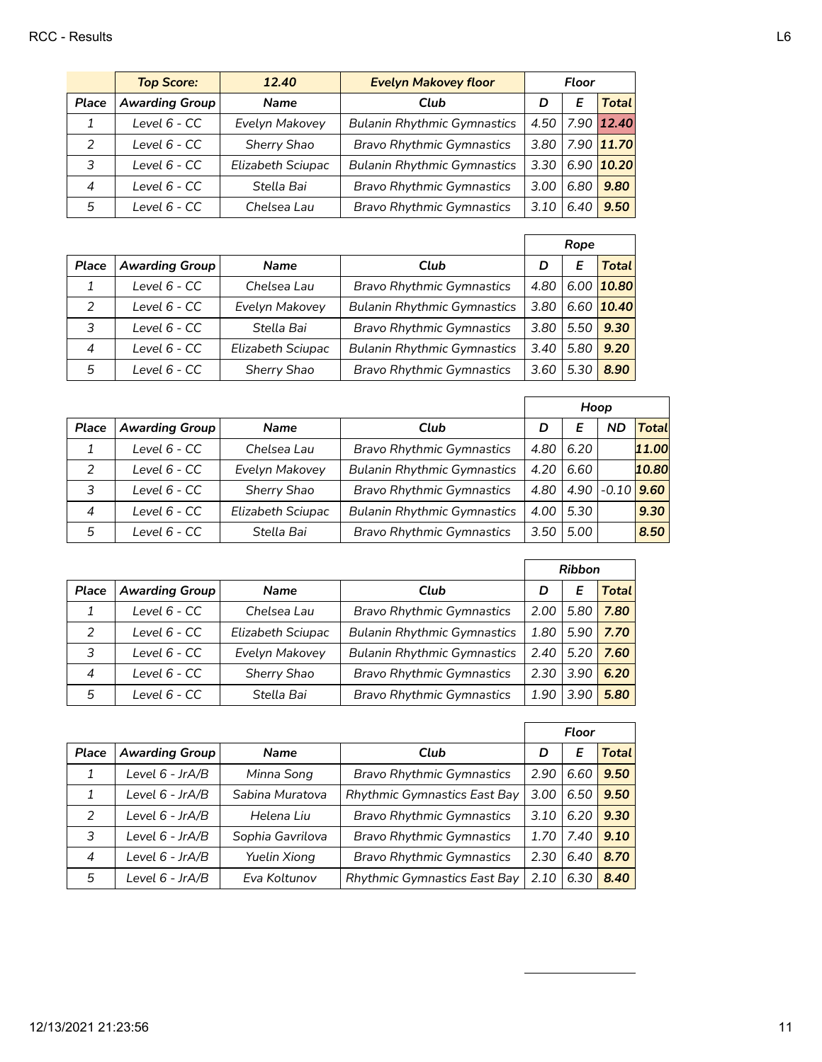|               | <b>Top Score:</b>     | 12.40             | <b>Evelyn Makovey floor</b>        | <b>Floor</b> |      |            |
|---------------|-----------------------|-------------------|------------------------------------|--------------|------|------------|
| Place         | <b>Awarding Group</b> | <b>Name</b>       | Club                               | D            |      | Total      |
| 1             | Level 6 - CC          | Evelyn Makovey    | <b>Bulanin Rhythmic Gymnastics</b> | 4.50         |      | 7.90 12.40 |
| $\mathcal{P}$ | Level $6 - CC$        | Sherry Shao       | <b>Bravo Rhythmic Gymnastics</b>   | 3.80         |      | 7.90 11.70 |
| 3             | Level 6 - CC          | Elizabeth Sciupac | <b>Bulanin Rhythmic Gymnastics</b> | 3.30         |      | 6.90 10.20 |
| 4             | Level $6 - CC$        | Stella Bai        | <b>Bravo Rhythmic Gymnastics</b>   | 3.00         | 6.80 | 9.80       |
| 5             | Level $6 - CC$        | Chelsea Lau       | <b>Bravo Rhythmic Gymnastics</b>   | 3.10         | 6.40 | 9.50       |

|                |                       |                   |                                    | Rope |      |                |
|----------------|-----------------------|-------------------|------------------------------------|------|------|----------------|
| Place          | <b>Awarding Group</b> | <b>Name</b>       | Club                               | D    | E    | <b>Total</b>   |
| 1              | Level 6 - CC          | Chelsea Lau       | <b>Bravo Rhythmic Gymnastics</b>   | 4.80 |      | $6.00$   10.80 |
| 2              | Level 6 - CC          | Evelyn Makovey    | <b>Bulanin Rhythmic Gymnastics</b> | 3.80 |      | $6.60$   10.40 |
| 3              | Level 6 - CC          | Stella Bai        | <b>Bravo Rhythmic Gymnastics</b>   | 3.80 | 5.50 | 9.30           |
| $\overline{4}$ | Level 6 - CC          | Elizabeth Sciupac | <b>Bulanin Rhythmic Gymnastics</b> | 3.40 | 5.80 | 9.20           |
| 5              | Level 6 - CC          | Sherry Shao       | <b>Bravo Rhythmic Gymnastics</b>   | 3.60 | 5.30 | 8.90           |

|                |                       |                    |                                    | Hoop |      |               |       |
|----------------|-----------------------|--------------------|------------------------------------|------|------|---------------|-------|
| Place          | <b>Awarding Group</b> | <b>Name</b>        | Club                               | D    | F    | ND            | Total |
|                | Level 6 - CC          | Chelsea Lau        | <b>Bravo Rhythmic Gymnastics</b>   | 4.80 | 6.20 |               | 11.00 |
| $\mathcal{P}$  | Level 6 - CC          | Evelyn Makovey     | <b>Bulanin Rhythmic Gymnastics</b> | 4.20 | 6.60 |               | 10.80 |
| 3              | Level $6 - CC$        | <b>Sherry Shao</b> | <b>Bravo Rhythmic Gymnastics</b>   | 4.80 |      | $4.90 - 0.10$ | 9.60  |
| $\overline{4}$ | Level $6 - CC$        | Elizabeth Sciupac  | <b>Bulanin Rhythmic Gymnastics</b> | 4.00 | 5.30 |               | 9.30  |
| 5              | Level 6 - CC          | Stella Bai         | <b>Bravo Rhythmic Gymnastics</b>   | 3.50 | 5.00 |               | 8.50  |

|                |                       |                   |                                    | <b>Ribbon</b> |      |       |
|----------------|-----------------------|-------------------|------------------------------------|---------------|------|-------|
| Place          | <b>Awarding Group</b> | <b>Name</b>       | Club                               | D             | Е    | Total |
| 1              | Level $6 - CC$        | Chelsea Lau       | <b>Bravo Rhythmic Gymnastics</b>   | 2.00          | 5.80 | 7.80  |
| $\mathcal{P}$  | Level 6 - CC          | Elizabeth Sciupac | <b>Bulanin Rhythmic Gymnastics</b> | 1.80          | 5.90 | 7.70  |
| 3              | Level 6 - CC          | Evelyn Makovey    | <b>Bulanin Rhythmic Gymnastics</b> | 2.40          | 5.20 | 7.60  |
| $\overline{4}$ | Level 6 - CC          | Sherry Shao       | <b>Bravo Rhythmic Gymnastics</b>   | 2.30          | 3.90 | 6.20  |
| 5              | Level 6 - CC          | Stella Bai        | <b>Bravo Rhythmic Gymnastics</b>   | 1.90          | 3.90 | 5.80  |

|                |                       |                     |                                     | Floor |      |              |
|----------------|-----------------------|---------------------|-------------------------------------|-------|------|--------------|
| Place          | <b>Awarding Group</b> | <b>Name</b>         | Club                                | D     | Е    | <b>Total</b> |
|                | Level 6 - JrA/B       | Minna Song          | <b>Bravo Rhythmic Gymnastics</b>    | 2.90  | 6.60 | 9.50         |
| 1              | Level 6 - JrA/B       | Sabina Muratova     | Rhythmic Gymnastics East Bay        | 3.00  | 6.50 | 9.50         |
| 2              | Level 6 - JrA/B       | Helena Liu          | <b>Bravo Rhythmic Gymnastics</b>    | 3.10  | 6.20 | 9.30         |
| 3              | Level 6 - JrA/B       | Sophia Gavrilova    | <b>Bravo Rhythmic Gymnastics</b>    | 1.70  | 7.40 | 9.10         |
| $\overline{4}$ | Level 6 - JrA/B       | <b>Yuelin Xiong</b> | <b>Bravo Rhythmic Gymnastics</b>    | 2.30  | 6.40 | 8.70         |
| 5              | Level 6 - JrA/B       | Eva Koltunov        | <b>Rhythmic Gymnastics East Bay</b> | 2.10  | 6.30 | 8.40         |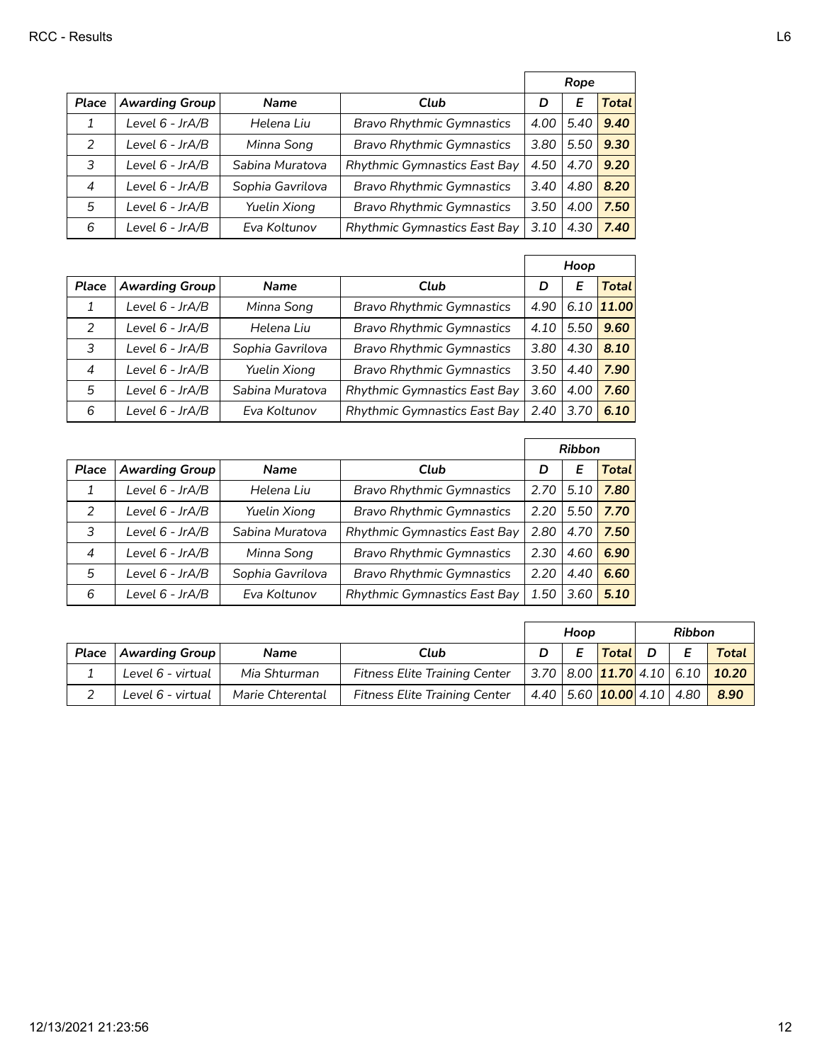|                |                       |                  |                                     | Rope |      |       |
|----------------|-----------------------|------------------|-------------------------------------|------|------|-------|
| Place          | <b>Awarding Group</b> | <b>Name</b>      | Club                                | D    | Е    | Total |
|                | Level 6 - JrA/B       | Helena Liu       | <b>Bravo Rhythmic Gymnastics</b>    | 4.00 | 5.40 | 9.40  |
| 2              | Level 6 - JrA/B       | Minna Song       | <b>Bravo Rhythmic Gymnastics</b>    | 3.80 | 5.50 | 9.30  |
| 3              | Level 6 - JrA/B       | Sabina Muratova  | <b>Rhythmic Gymnastics East Bay</b> | 4.50 | 4.70 | 9.20  |
| $\overline{4}$ | Level 6 - JrA/B       | Sophia Gavrilova | <b>Bravo Rhythmic Gymnastics</b>    | 3.40 | 4.80 | 8.20  |
| 5              | Level 6 - JrA/B       | Yuelin Xiong     | <b>Bravo Rhythmic Gymnastics</b>    | 3.50 | 4.00 | 7.50  |
| 6              | Level 6 - JrA/B       | Eva Koltunov     | <b>Rhythmic Gymnastics East Bay</b> | 3.10 | 4.30 | 7.40  |

|                |                       |                  |                                     |      | Hoop |              |
|----------------|-----------------------|------------------|-------------------------------------|------|------|--------------|
| Place          | <b>Awarding Group</b> | <b>Name</b>      | Club                                | D    | E    | Total        |
| 1              | Level 6 - JrA/B       | Minna Song       | <b>Bravo Rhythmic Gymnastics</b>    | 4.90 |      | $6.10$ 11.00 |
| 2              | Level 6 - JrA/B       | Helena Liu       | <b>Bravo Rhythmic Gymnastics</b>    | 4.10 | 5.50 | 9.60         |
| 3              | Level 6 - JrA/B       | Sophia Gavrilova | <b>Bravo Rhythmic Gymnastics</b>    | 3.80 | 4.30 | 8.10         |
| $\overline{4}$ | Level 6 - JrA/B       | Yuelin Xiong     | <b>Bravo Rhythmic Gymnastics</b>    | 3.50 | 4.40 | 7.90         |
| 5              | Level 6 - JrA/B       | Sabina Muratova  | <b>Rhythmic Gymnastics East Bay</b> | 3.60 | 4.00 | 7.60         |
| 6              | Level 6 - JrA/B       | Eva Koltunov     | Rhythmic Gymnastics East Bay        | 2.40 | 3.70 | 6.10         |

|                |                       |                  |                                     | <b>Ribbon</b> |      |              |
|----------------|-----------------------|------------------|-------------------------------------|---------------|------|--------------|
| Place          | <b>Awarding Group</b> | <b>Name</b>      | Club                                | D             | Е    | <b>Total</b> |
| 1              | Level 6 - JrA/B       | Helena Liu       | <b>Bravo Rhythmic Gymnastics</b>    | 2.70          | 5.10 | 7.80         |
| $\mathcal{P}$  | Level 6 - JrA/B       | Yuelin Xiong     | <b>Bravo Rhythmic Gymnastics</b>    | 2.20          | 5.50 | 7.70         |
| 3              | Level 6 - JrA/B       | Sabina Muratova  | <b>Rhythmic Gymnastics East Bay</b> | 2.80          | 4.70 | 7.50         |
| $\overline{4}$ | Level 6 - JrA/B       | Minna Song       | <b>Bravo Rhythmic Gymnastics</b>    | 2.30          | 4.60 | 6.90         |
| 5              | Level 6 - JrA/B       | Sophia Gavrilova | <b>Bravo Rhythmic Gymnastics</b>    | 2.20          | 4.40 | 6.60         |
| 6              | Level 6 - JrA/B       | Eva Koltunov     | Rhythmic Gymnastics East Bay        | 1.50          | 3.60 | 5.10         |

|       |                   |                  |                                      | Hoop |  |                                   | <b>Ribbon</b> |  |                                 |
|-------|-------------------|------------------|--------------------------------------|------|--|-----------------------------------|---------------|--|---------------------------------|
| Place | Awarding Group    | <b>Name</b>      | Club                                 |      |  | Total                             | D             |  | <b>Total</b>                    |
|       | Level 6 - virtual | Mia Shturman     | <b>Fitness Elite Training Center</b> |      |  |                                   |               |  | 3.70 8.00 11.70 4.10 6.10 10.20 |
|       | Level 6 - virtual | Marie Chterental | <b>Fitness Elite Training Center</b> |      |  | 4.40   5.60   10.00   4.10   4.80 |               |  | 8.90                            |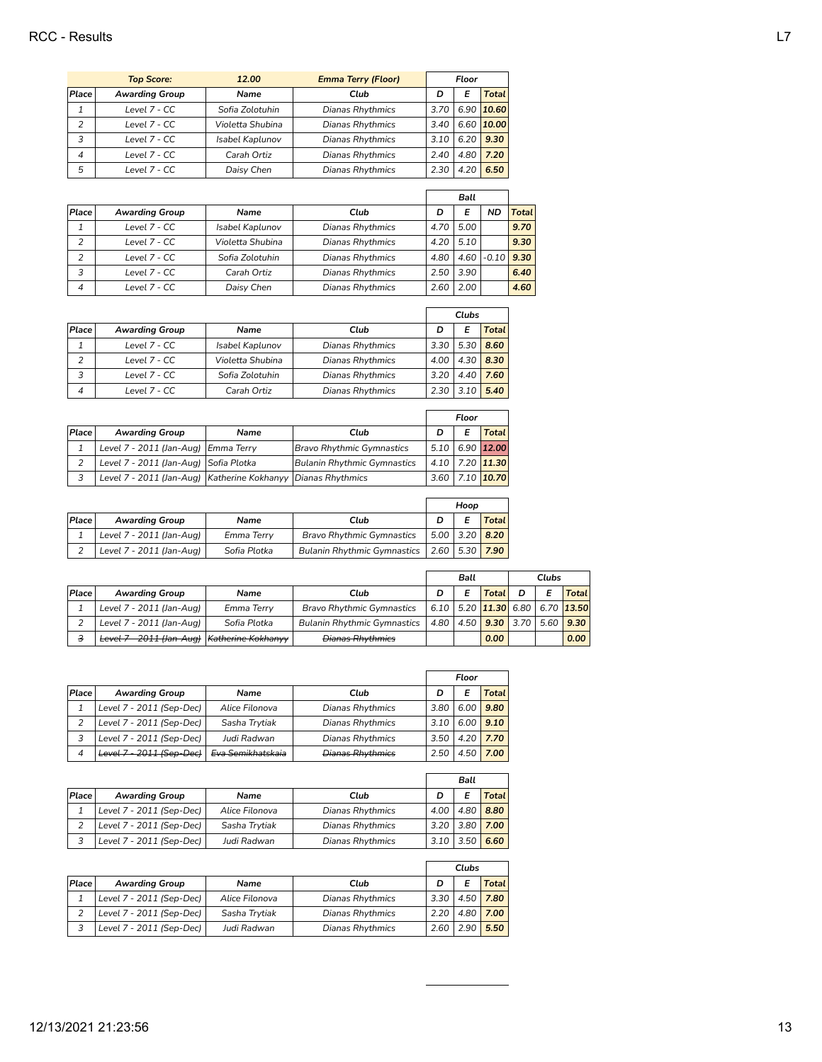|                | <b>Top Score:</b>     | 12.00            | <b>Emma Terry (Floor)</b> | Floor |      |                |
|----------------|-----------------------|------------------|---------------------------|-------|------|----------------|
| Place          | <b>Awarding Group</b> | Name             | Club                      | D     |      | Total          |
|                | Level 7 - CC          | Sofia Zolotuhin  | Dianas Rhythmics          | 3.70  |      | $6.90$   10.60 |
| $\overline{2}$ | Level 7 - CC          | Violetta Shubina | <b>Dianas Rhythmics</b>   | 3.40  |      | 6.60 10.00     |
| 3              | Level 7 - CC          | Isabel Kaplunov  | <b>Dianas Rhythmics</b>   | 3.10  | 6.20 | 9.30           |
| 4              | Level 7 - CC          | Carah Ortiz      | <b>Dianas Rhythmics</b>   | 2.40  | 4.80 | 7.20           |
| 5              | Level 7 - CC          | Daisy Chen       | <b>Dianas Rhythmics</b>   | 2.30  | 4.20 | 6.50           |

|       |                       |                  |                         | <b>Ball</b> |      |                |              |
|-------|-----------------------|------------------|-------------------------|-------------|------|----------------|--------------|
| Place | <b>Awarding Group</b> | Name             | Club                    | D           | E    | ND             | <b>Total</b> |
|       | Level 7 - CC          | Isabel Kaplunov  | <b>Dianas Rhythmics</b> | 4.70        | 5.00 |                | 9.70         |
| 2     | Level 7 - CC          | Violetta Shubina | <b>Dianas Rhythmics</b> | 4.20        | 5.10 |                | 9.30         |
| 2     | Level 7 - CC          | Sofia Zolotuhin  | <b>Dianas Rhythmics</b> | 4.80        |      | $4.60$ $-0.10$ | 9.30         |
| 3     | Level 7 - CC          | Carah Ortiz      | <b>Dianas Rhythmics</b> | 2.50        | 3.90 |                | 6.40         |
| 4     | Level 7 - CC          | Daisy Chen       | <b>Dianas Rhythmics</b> | 2.60        | 2.00 |                | 4.60         |

 $\overline{a}$ 

|                |                       |                  |                  | Clubs |      |       |
|----------------|-----------------------|------------------|------------------|-------|------|-------|
| Place          | <b>Awarding Group</b> | Name             | Club             |       |      | Total |
|                | Level 7 - CC          | Isabel Kaplunov  | Dianas Rhythmics | 3.30  | 5.30 | 8.60  |
| 2              | Level 7 - CC          | Violetta Shubina | Dianas Rhythmics | 4.00  | 4.30 | 8.30  |
| 3              | Level 7 - CC          | Sofia Zolotuhin  | Dianas Rhythmics | 3.20  | 4.40 | 7.60  |
| $\overline{4}$ | Level 7 - CC          | Carah Ortiz      | Dianas Rhythmics | 2.30  |      | 5.40  |

|       |                                                              |      |                                    | Floor |   |                         |
|-------|--------------------------------------------------------------|------|------------------------------------|-------|---|-------------------------|
| Place | <b>Awarding Group</b>                                        | Name | Club                               | D     | Е | <b>Total</b>            |
|       | Level 7 - 2011 (Jan-Aug) Emma Terry                          |      | <b>Bravo Rhythmic Gymnastics</b>   |       |   | $5.10$ 6.90 12.00       |
|       | Level 7 - 2011 (Jan-Aug) Sofia Plotka                        |      | <b>Bulanin Rhythmic Gymnastics</b> |       |   | $4.10$ 7.20 11.30       |
|       | Level 7 - 2011 (Jan-Aug) Katherine Kokhanyy Dianas Rhythmics |      |                                    |       |   | $3.60$   7.10 $ 10.70 $ |

| Place | <b>Awarding Group</b>    | Name         | Club                               |  |  | <b>Total</b>       |
|-------|--------------------------|--------------|------------------------------------|--|--|--------------------|
|       | Level 7 - 2011 (Jan-Aug) | Emma Terry   | <b>Bravo Rhythmic Gymnastics</b>   |  |  | 5.00 3.20 8.20     |
|       | Level 7 - 2011 (Jan-Aug) | Sofia Plotka | <b>Bulanin Rhythmic Gymnastics</b> |  |  | $ 2.60 5.30 $ 7.90 |

|       |                          |                               | Ball                               |      |  | Clubs          |  |      |                                 |
|-------|--------------------------|-------------------------------|------------------------------------|------|--|----------------|--|------|---------------------------------|
| Place | <b>Awarding Group</b>    | Name                          | Club                               |      |  | <b>Total</b>   |  | E    | Total                           |
|       | Level 7 - 2011 (Jan-Aug) | Emma Terry                    | <b>Bravo Rhythmic Gymnastics</b>   |      |  |                |  |      | 6.10 5.20 11.30 6.80 6.70 13.50 |
|       | Level 7 - 2011 (Jan-Aug) | Sofia Plotka                  | <b>Bulanin Rhythmic Gymnastics</b> | 4.80 |  | 4.50 9.30 3.70 |  | 5.60 | 9.30                            |
| 3     | Level 7 - 2011 (Jan-Aug) | <del>Katherine Kokhanvv</del> | <b>Dianas Rhythmics</b>            |      |  | 0.00           |  |      | 0.00                            |

|       |                          |                   |                         | Floor |           |       |
|-------|--------------------------|-------------------|-------------------------|-------|-----------|-------|
| Place | <b>Awarding Group</b>    | Name              | Club                    | D     |           | Total |
|       | Level 7 - 2011 (Sep-Dec) | Alice Filonova    | Dianas Rhythmics        | 3.80  | 6.00      | 9.80  |
| 2     | Level 7 - 2011 (Sep-Dec) | Sasha Trytiak     | Dianas Rhythmics        | 3.10  | 6.00      | 9.10  |
| 3     | Level 7 - 2011 (Sep-Dec) | Judi Radwan       | Dianas Rhythmics        | 3.50  | 4.20      | 7.70  |
| 4     | Level 7 - 2011 (Sep-Dec) | Eva Semikhatskaja | <b>Dianas Rhythmics</b> | 2.50  | 1.50<br>⊿ | 7.00  |

|       |                          |                |                         |             | Ball        |              |  |
|-------|--------------------------|----------------|-------------------------|-------------|-------------|--------------|--|
| Place | <b>Awarding Group</b>    | Name           | Club                    |             |             | <b>Total</b> |  |
|       | Level 7 - 2011 (Sep-Dec) | Alice Filonova | <b>Dianas Rhythmics</b> | 4.00        |             | 4.80 8.80    |  |
|       | Level 7 - 2011 (Sep-Dec) | Sasha Trytiak  | Dianas Rhythmics        |             | $3.20$ 3.80 | 7.00         |  |
|       | Level 7 - 2011 (Sep-Dec) | Judi Radwan    | Dianas Rhythmics        | $3.10$ 3.50 |             | 6.60         |  |

|       |                          |                |                         | Clubs |      |       |
|-------|--------------------------|----------------|-------------------------|-------|------|-------|
| Place | <b>Awarding Group</b>    | Name           | Club                    |       | E    | Total |
|       | Level 7 - 2011 (Sep-Dec) | Alice Filonova | <b>Dianas Rhythmics</b> | 3.30  | 4.50 | 7.80  |
|       | Level 7 - 2011 (Sep-Dec) | Sasha Trytiak  | Dianas Rhythmics        | 2.20  | 4.80 | 7.00  |
|       | Level 7 - 2011 (Sep-Dec) | Judi Radwan    | Dianas Rhythmics        | 2.60  | 2.90 | 5.50  |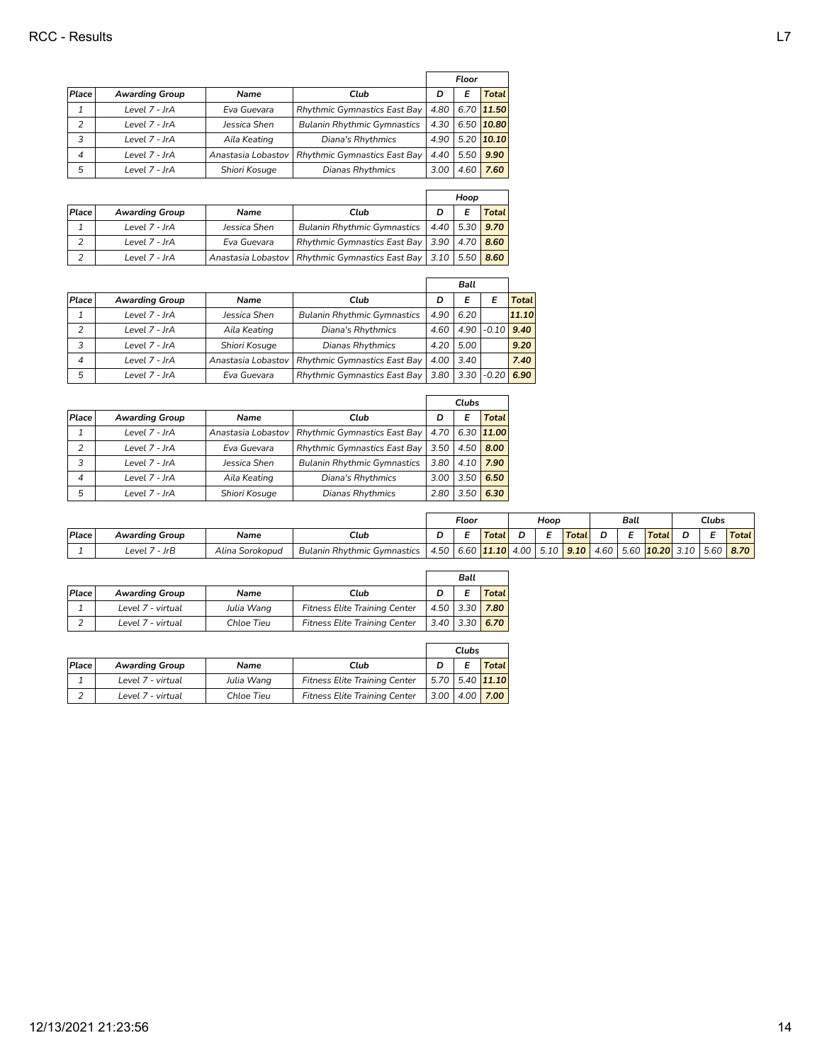|                          |                       |                    |                                     | Floor |      |                 |
|--------------------------|-----------------------|--------------------|-------------------------------------|-------|------|-----------------|
| Place                    | <b>Awarding Group</b> | Name               | Club                                | D     |      | Total           |
|                          | Level 7 - JrA         | Eva Guevara        | <b>Rhythmic Gymnastics East Bay</b> |       |      | 4.80 6.70 11.50 |
|                          | Level 7 - JrA         | Jessica Shen       | <b>Bulanin Rhythmic Gymnastics</b>  | 4.30  |      | 6.50 10.80      |
| 3                        | Level 7 - JrA         | Aila Keating       | Diana's Rhythmics                   | 4.90  |      | $5.20$ 10.10    |
| $\overline{\mathcal{A}}$ | Level 7 - JrA         | Anastasia Lobastov | Rhythmic Gymnastics East Bay        | 4.40  | 5.50 | 9.90            |
| 5                        | Level 7 - JrA         | Shiori Kosuge      | Dianas Rhythmics                    | 3.00  | 4.60 | 7.60            |

|       |                       |              |                                                                        | Hoop             |  |              |
|-------|-----------------------|--------------|------------------------------------------------------------------------|------------------|--|--------------|
| Place | <b>Awarding Group</b> | Name         | Club                                                                   |                  |  | <b>Total</b> |
|       | Level 7 - JrA         | Jessica Shen | <b>Bulanin Rhythmic Gymnastics</b>                                     | $4.40$ 5.30 9.70 |  |              |
|       | Level 7 - JrA         | Eva Guevara  | Rhythmic Gymnastics East Bay   3.90   4.70   8.60                      |                  |  |              |
|       | Level 7 - JrA         |              | Anastasia Lobastov   Rhythmic Gymnastics East Bay   3.10   5.50   8.60 |                  |  |              |

|                          |                       |                    |                                     |      | Ball |                |       |
|--------------------------|-----------------------|--------------------|-------------------------------------|------|------|----------------|-------|
| Place                    | <b>Awarding Group</b> | Name               | Club                                | D    |      |                | Total |
|                          | Level 7 - JrA         | Jessica Shen       | <b>Bulanin Rhythmic Gymnastics</b>  | 4.90 | 6.20 |                | 11.10 |
| 2                        | Level 7 - JrA         | Aila Keating       | Diana's Rhythmics                   | 4.60 |      | $4.90$ $-0.10$ | 9.40  |
| 3                        | Level 7 - JrA         | Shiori Kosuge      | <b>Dianas Rhythmics</b>             | 4.20 | 5.00 |                | 9.20  |
| $\overline{\mathcal{A}}$ | Level 7 - JrA         | Anastasia Lobastov | <b>Rhythmic Gymnastics East Bay</b> | 4.00 | 3.40 |                | 7.40  |
| 5                        | Level 7 - JrA         | Eva Guevara        | Rhythmic Gymnastics East Bay        | 3.80 |      | $3.30$ $-0.20$ | 6.90  |

|                          |                       |                      |                                     | Clubs |      |            |
|--------------------------|-----------------------|----------------------|-------------------------------------|-------|------|------------|
| Place                    | <b>Awarding Group</b> | Name                 | Club                                | D     | E    | Total      |
|                          | Level 7 - JrA         | Anastasia Lobastov I | Rhythmic Gymnastics East Bay        | 4.70  |      | 6.30 11.00 |
| $\overline{2}$           | Level 7 - JrA         | Eva Guevara          | <b>Rhythmic Gymnastics East Bay</b> | 3.50  | 4.50 | 8.00       |
| 3                        | Level 7 - JrA         | Jessica Shen         | <b>Bulanin Rhythmic Gymnastics</b>  | 3.80  | 4.10 | 7.90       |
| $\overline{\mathcal{A}}$ | Level 7 - JrA         | Aila Keating         | Diana's Rhythmics                   | 3.00  | 3.50 | 6.50       |
| 5                        | Level 7 - JrA         | Shiori Kosuge        | <b>Dianas Rhythmics</b>             | 2.80  | 3.50 | 6.30       |

|       |                       |                    |                                         |                    | Floor |              |      | Hoop        |       |      | Ball |       | Clubs |      |              |
|-------|-----------------------|--------------------|-----------------------------------------|--------------------|-------|--------------|------|-------------|-------|------|------|-------|-------|------|--------------|
| Place | <b>Awarding Group</b> | Name               | Club                                    |                    |       | <b>Total</b> |      |             | Total | n    |      | Total |       |      | <b>Total</b> |
|       | - JrB<br>Level .      | Alina<br>Sorokopud | <b>Bulanin Rhythmic G</b><br>Gymnastics | .4.50 <sup>1</sup> | 6.60  | 11.10        | 4.00 | 510<br>5.IU | 9.10  | 4.60 | 5.60 | 10.20 | 3.10  | 5.60 | 8.70         |

|       |                       |            |                                      | Ball           |             |              |
|-------|-----------------------|------------|--------------------------------------|----------------|-------------|--------------|
| Place | <b>Awarding Group</b> | Name       | Club                                 |                |             | <b>Total</b> |
|       | Level 7 - virtual     | Julia Wang | <b>Fitness Elite Training Center</b> |                | $4.50$ 3.30 | 7.80         |
|       | Level 7 - virtual     | Chloe Tieu | <b>Fitness Elite Training Center</b> | 3.40 3.30 6.70 |             |              |

|       |                       |             |                                      | Clubs                 |                   |
|-------|-----------------------|-------------|--------------------------------------|-----------------------|-------------------|
| Place | <b>Awarding Group</b> | <b>Name</b> | Club                                 |                       | Totall            |
| ┻     | Level 7 - virtual     | Julia Wang  | <b>Fitness Elite Training Center</b> |                       | $5.70$ 5.40 11.10 |
| ∠     | Level 7 - virtual     | Chloe Tieu  | <b>Fitness Elite Training Center</b> | $3.00 \mid 4.00 \mid$ | 7.00              |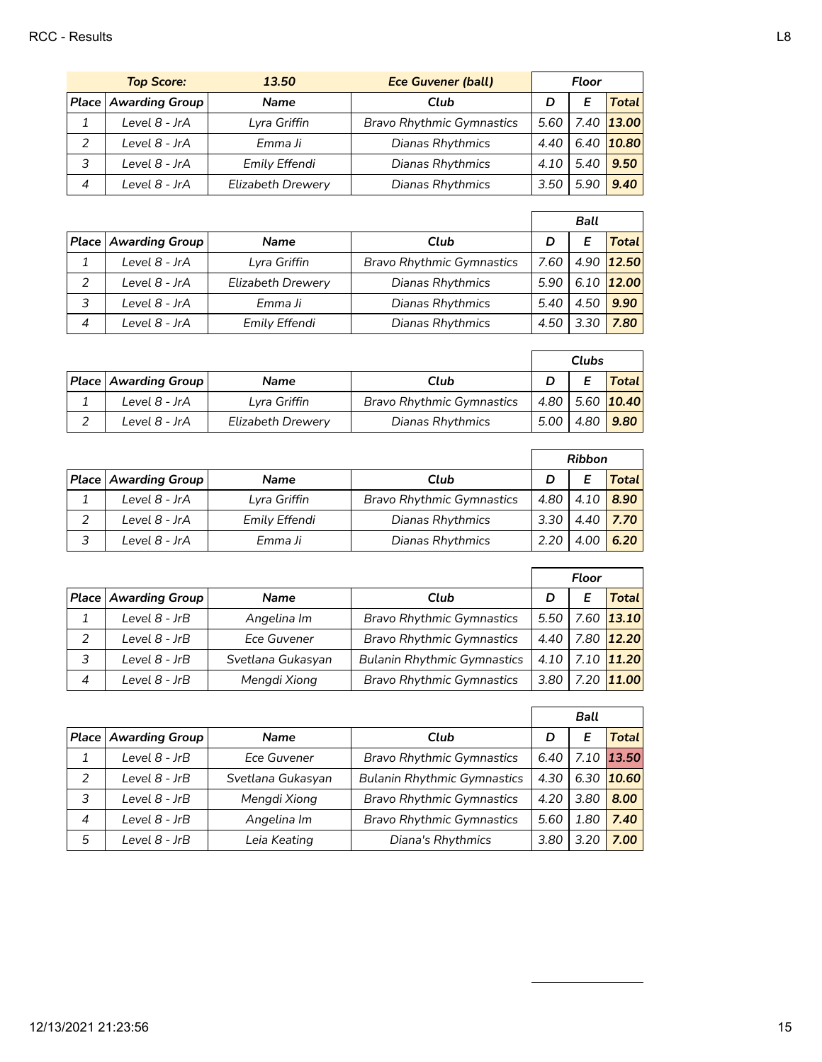| <b>Top Score:</b> |                               | 13.50                    | <b>Ece Guvener (ball)</b>        | Floor |      |              |
|-------------------|-------------------------------|--------------------------|----------------------------------|-------|------|--------------|
|                   | <b>Place   Awarding Group</b> | <b>Name</b>              | Club                             | D     |      | Total I      |
|                   | Level 8 - JrA                 | Lyra Griffin             | <b>Bravo Rhythmic Gymnastics</b> | 5.60  |      | 7.40 13.00   |
|                   | Level 8 - JrA                 | Emma Ji                  | Dianas Rhythmics                 | 4.40  |      | $6.40$ 10.80 |
|                   | Level 8 - JrA                 | Emily Effendi            | Dianas Rhythmics                 | 4.10  | 5.40 | 9.50         |
| $\overline{4}$    | Level 8 - JrA                 | <b>Elizabeth Drewery</b> | Dianas Rhythmics                 | 3.50  | 5.90 | 9.40         |

|                |                               |                   |                                  |      | <b>Ball</b> |                |
|----------------|-------------------------------|-------------------|----------------------------------|------|-------------|----------------|
|                | <b>Place   Awarding Group</b> | <b>Name</b>       | Club                             |      |             | Total          |
|                | Level 8 - JrA                 | Lyra Griffin      | <b>Bravo Rhythmic Gymnastics</b> | 7.60 |             | 4.90 12.50     |
| $\mathcal{P}$  | Level 8 - JrA                 | Elizabeth Drewery | Dianas Rhythmics                 | 5.90 |             | $6.10$   12.00 |
| 3              | Level 8 - JrA                 | Emma Ji           | Dianas Rhythmics                 | 5.40 | 4.50        | 9.90           |
| $\overline{4}$ | Level 8 - JrA                 | Emily Effendi     | Dianas Rhythmics                 | 4.50 | 3.30        | 7.80           |

|                               |                   |                                  | <b>Clubs</b> |      |                              |
|-------------------------------|-------------------|----------------------------------|--------------|------|------------------------------|
| <b>Place   Awarding Group</b> | <b>Name</b>       | Club                             |              |      | <b>Total</b>                 |
| Level 8 - JrA                 | Lyra Griffin      | <b>Bravo Rhythmic Gymnastics</b> |              |      | $4.80$   5.60   <b>10.40</b> |
| Level 8 - JrA                 | Elizabeth Drewery | Dianas Rhythmics                 | 5.00 l       | 4.80 | 9.80                         |

|   |                        |               |                                  | <b>Ribbon</b> |      |              |
|---|------------------------|---------------|----------------------------------|---------------|------|--------------|
|   | Place   Awarding Group | <b>Name</b>   | Club                             |               |      | <b>Total</b> |
|   | Level 8 - JrA          | Lyra Griffin  | <b>Bravo Rhythmic Gymnastics</b> | 4.80          | 4.10 | 8.90         |
| っ | Level 8 - JrA          | Emily Effendi | Dianas Rhythmics                 | 3.30          | 4.40 | 7.70         |
| 3 | Level 8 - JrA          | Emma Ji       | Dianas Rhythmics                 |               | 4.OC | 6.20         |

|                | <b>Place Awarding Group</b> | <b>Name</b>       | Club                               | D      |  | Total      |
|----------------|-----------------------------|-------------------|------------------------------------|--------|--|------------|
|                | Level 8 - JrB               | Angelina Im       | <b>Bravo Rhythmic Gymnastics</b>   | $5.50$ |  | 7.60 13.10 |
| 2              | Level 8 - JrB               | Ece Guvener       | <b>Bravo Rhythmic Gymnastics</b>   | 4.40   |  | 7.80 12.20 |
| 3              | Level 8 - JrB               | Svetlana Gukasyan | <b>Bulanin Rhythmic Gymnastics</b> | 4.10   |  | 7.10 11.20 |
| $\overline{4}$ | Level 8 - JrB               | Mengdi Xiong      | <b>Bravo Rhythmic Gymnastics</b>   | 3.80   |  | 7.20 11.00 |

|   |                                 |                   |                                    |      | Ball |              |
|---|---------------------------------|-------------------|------------------------------------|------|------|--------------|
|   | <b>Place   Awarding Group  </b> | <b>Name</b>       | Club                               | D    |      | Total        |
|   | Level 8 - JrB                   | Ece Guvener       | <b>Bravo Rhythmic Gymnastics</b>   | 6.40 |      | 7.10 13.50   |
| 2 | Level $8$ - JrB                 | Svetlana Gukasyan | <b>Bulanin Rhythmic Gymnastics</b> | 4.30 |      | $6.30$ 10.60 |
| 3 | Level $8$ - JrB                 | Mengdi Xiong      | <b>Bravo Rhythmic Gymnastics</b>   | 4.20 | 3.80 | 8.00         |
| 4 | Level 8 - JrB                   | Angelina Im       | <b>Bravo Rhythmic Gymnastics</b>   | 5.60 | 1.80 | 7.40         |
| 5 | Level 8 - JrB                   | Leia Keating      | Diana's Rhythmics                  | 3.80 | 3.20 | 7.00         |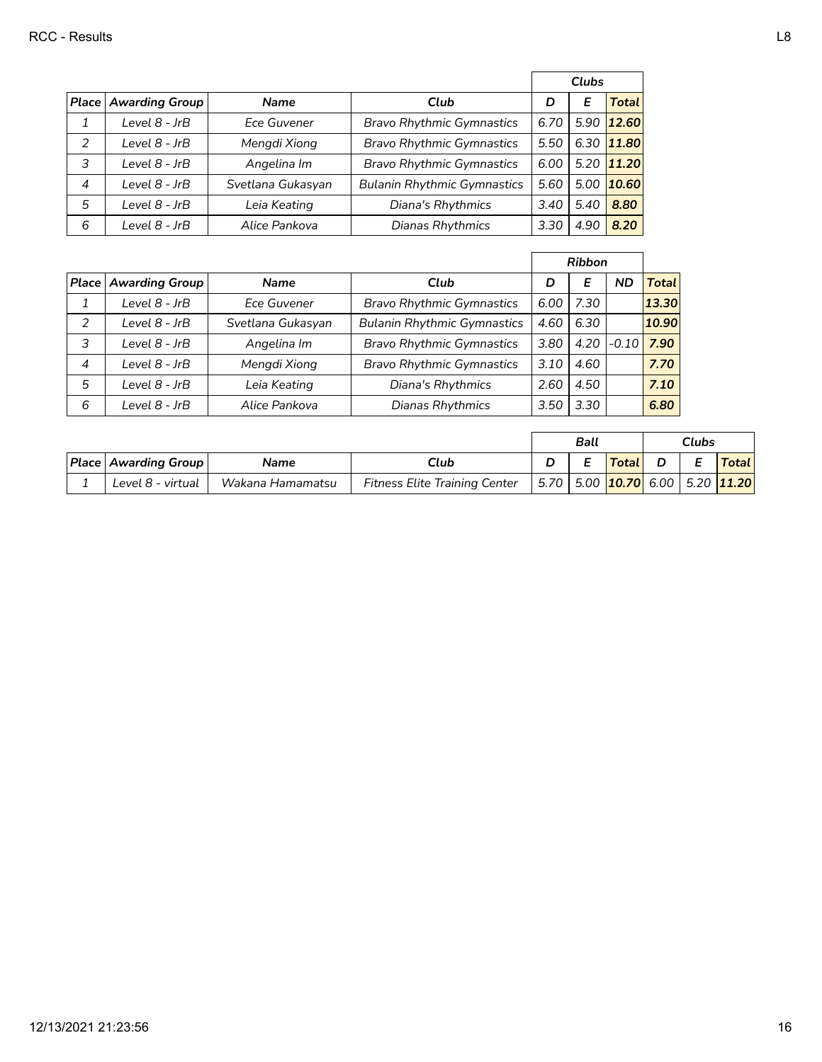|                |                               |                   |                                    |      | <b>Clubs</b> |                |
|----------------|-------------------------------|-------------------|------------------------------------|------|--------------|----------------|
|                | <b>Place   Awarding Group</b> | <b>Name</b>       | Club                               | D    | Е            | <b>Total</b>   |
| 1              | Level 8 - JrB                 | Ece Guvener       | <b>Bravo Rhythmic Gymnastics</b>   | 6.70 |              | $5.90$   12.60 |
| 2              | Level 8 - JrB                 | Mengdi Xiong      | <b>Bravo Rhythmic Gymnastics</b>   | 5.50 |              | 6.30 11.80     |
| 3              | Level 8 - JrB                 | Angelina Im       | <b>Bravo Rhythmic Gymnastics</b>   | 6.00 |              | $5.20$   11.20 |
| $\overline{4}$ | Level 8 - JrB                 | Svetlana Gukasyan | <b>Bulanin Rhythmic Gymnastics</b> | 5.60 |              | $5.00$   10.60 |
| 5              | Level 8 - JrB                 | Leia Keating      | Diana's Rhythmics                  | 3.40 | 5.40         | 8.80           |
| 6              | Level 8 - JrB                 | Alice Pankova     | Dianas Rhythmics                   | 3.30 | 4.90         | 8.20           |

|                |                       |                   |                                    |      | <b>Ribbon</b> |              |              |
|----------------|-----------------------|-------------------|------------------------------------|------|---------------|--------------|--------------|
| Place          | <b>Awarding Group</b> | <b>Name</b>       | Club                               | D    | Е             | <b>ND</b>    | <b>Total</b> |
|                | Level 8 - JrB         | Ece Guvener       | <b>Bravo Rhythmic Gymnastics</b>   | 6.00 | 7.30          |              | 13.30        |
| 2              | Level 8 - JrB         | Svetlana Gukasyan | <b>Bulanin Rhythmic Gymnastics</b> | 4.60 | 6.30          |              | 10.90        |
| 3              | Level 8 - JrB         | Angelina Im       | <b>Bravo Rhythmic Gymnastics</b>   | 3.80 |               | $4.20$ -0.10 | 7.90         |
| $\overline{4}$ | Level 8 - JrB         | Mengdi Xiong      | <b>Bravo Rhythmic Gymnastics</b>   | 3.10 | 4.60          |              | 7.70         |
| 5              | Level 8 - JrB         | Leia Keating      | Diana's Rhythmics                  | 2.60 | 4.50          |              | 7.10         |
| 6              | Level 8 - JrB         | Alice Pankova     | Dianas Rhythmics                   | 3.50 | 3.30          |              | 6.80         |

|                        |                  |                                      | Ball |                                                               | <b>Clubs</b> |              |
|------------------------|------------------|--------------------------------------|------|---------------------------------------------------------------|--------------|--------------|
| Place   Awarding Group | Name             | Club                                 |      | $\mathsf{T}$ otal                                             |              | <b>Total</b> |
| Level 8 - virtual      | Wakana Hamamatsu | <b>Fitness Elite Training Center</b> |      | 5.70   5.00 <mark>10.70</mark> 6.00   5.20 <mark>11.20</mark> |              |              |

 $\overline{a}$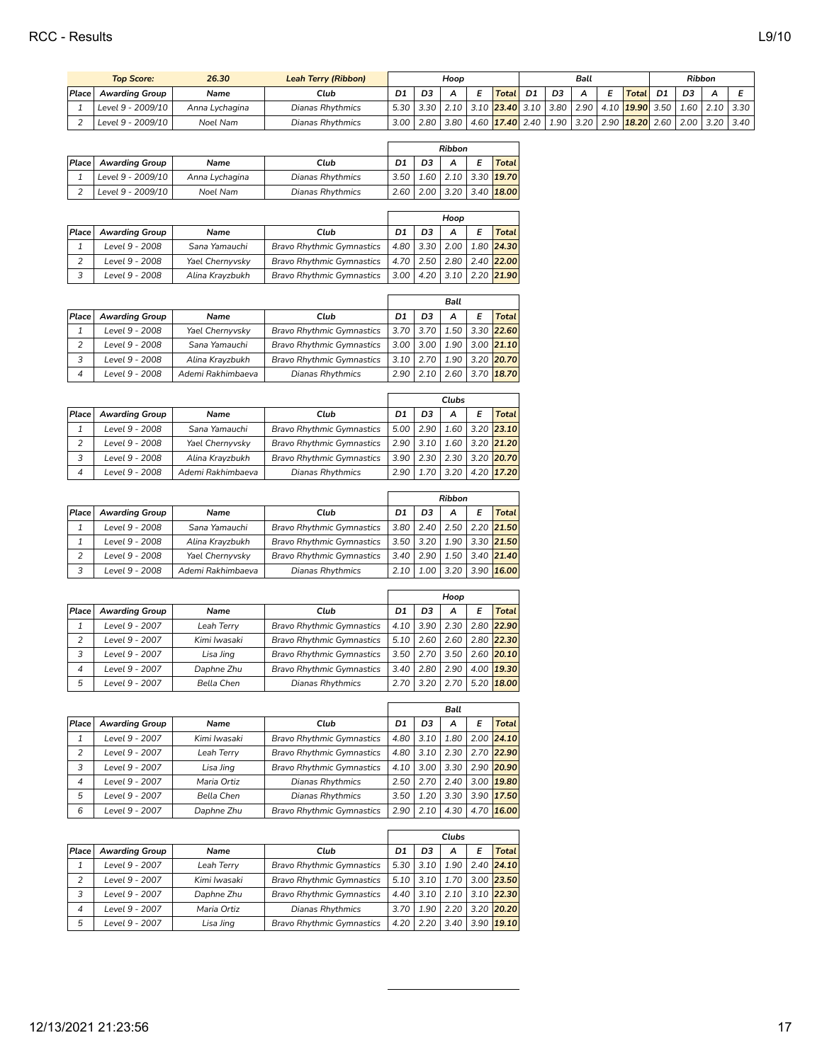| 26.30<br><b>Top Score:</b> |                   | <b>Leah Terry (Ribbon)</b> | Hoop                    |      |                | Ball |                                  |                |                |      | <b>Ribbon</b> |                        |      |                |                          |      |
|----------------------------|-------------------|----------------------------|-------------------------|------|----------------|------|----------------------------------|----------------|----------------|------|---------------|------------------------|------|----------------|--------------------------|------|
| Place                      | Awarding Group    | Name                       | Club                    | D1   | D <sub>3</sub> |      | <b>Total</b>                     | D <sub>1</sub> | D <sub>3</sub> |      |               | Total <sub>1</sub>     | D1   | D <sub>3</sub> | A                        |      |
|                            | Level 9 - 2009/10 | Anna Lychagina             | <b>Dianas Rhythmics</b> | 5.30 | 3.30           | 2.10 | 3.10   <mark>23.40</mark>   3.10 |                | 3.80           | 2.90 |               | 4.10 <b>19.90</b> 3.50 |      |                | $1.60$   $2.10$   $3.30$ |      |
|                            | Level 9 - 2009/10 | Noel Nam                   | <b>Dianas Rhythmics</b> | 3.00 | 2.80           | 3.80 | 4.60 <b>17.40</b> 2.40           |                | 1.90'          | 3.20 |               | $2.90$ 18.20           | 2.60 | 2.00           | 3.20                     | 3.40 |

|       |                       |                |                         |                |    | <b>Ribbon</b> |                                     |
|-------|-----------------------|----------------|-------------------------|----------------|----|---------------|-------------------------------------|
| Place | <b>Awarding Group</b> | Name           | Club                    | D <sub>1</sub> | D3 |               | <b>Total</b>                        |
|       | Level 9 - 2009/10     | Anna Lychagina | Dianas Rhythmics        |                |    |               | $3.50$   1.60   2.10   3.30   19.70 |
|       | Level 9 - 2009/10     | Noel Nam       | <b>Dianas Rhythmics</b> |                |    |               | $2.60$   2.00   3.20   3.40   18.00 |

|       |                       |                 |                                  | Hoop |    |   |   |                                     |
|-------|-----------------------|-----------------|----------------------------------|------|----|---|---|-------------------------------------|
| Place | <b>Awarding Group</b> | Name            | Club                             | D1   | D3 | А | E | <b>Total</b>                        |
|       | Level 9 - 2008        | Sana Yamauchi   | <b>Bravo Rhythmic Gymnastics</b> |      |    |   |   | 4.80 3.30 2.00 1.80 24.30           |
|       | Level 9 - 2008        | Yael Chernyvsky | <b>Bravo Rhythmic Gymnastics</b> |      |    |   |   | 4.70   2.50   2.80   2.40 22.00     |
| 3     | Level 9 - 2008        | Alina Krayzbukh | <b>Bravo Rhythmic Gymnastics</b> |      |    |   |   | $3.00$   4.20   3.10   2.20   21.90 |

|       |                       |                   |                                  | <b>Ball</b> |                 |      |   |                                   |
|-------|-----------------------|-------------------|----------------------------------|-------------|-----------------|------|---|-----------------------------------|
| Place | <b>Awarding Group</b> | <b>Name</b>       | Club                             | D1          | D <sub>3</sub>  | А    | E | <b>Total</b>                      |
|       | Level 9 - 2008        | Yael Chernyvsky   | <b>Bravo Rhythmic Gymnastics</b> |             |                 |      |   | $3.70$   3.70   1.50   3.30 22.60 |
| 2     | Level 9 - 2008        | Sana Yamauchi     | <b>Bravo Rhythmic Gymnastics</b> |             | $3.00$   $3.00$ |      |   | $1.90$   3.00   21.10             |
| 3     | Level 9 - 2008        | Alina Krayzbukh   | <b>Bravo Rhythmic Gymnastics</b> |             | $3.10$   2.70   |      |   | 1.90 3.20 20.70                   |
| 4     | Level 9 - 2008        | Ademi Rakhimbaeva | Dianas Rhythmics                 | 2.90        |                 | 2.60 |   | $3.70$ 18.70                      |

|                |                       |                   |                                  | Clubs          |               |      |   |                       |
|----------------|-----------------------|-------------------|----------------------------------|----------------|---------------|------|---|-----------------------|
| Place          | <b>Awarding Group</b> | <b>Name</b>       | Club                             | D1             | D3            | A    | E | Total                 |
|                | Level 9 - 2008        | Sana Yamauchi     | <b>Bravo Rhythmic Gymnastics</b> | $5.00\text{ }$ | 2.90          |      |   | $1.60$   3.20   23.10 |
| $\overline{2}$ | Level 9 - 2008        | Yael Chernyvsky   | <b>Bravo Rhythmic Gymnastics</b> |                | $2.90$   3.10 |      |   | $1.60$   3.20   21.20 |
| 3              | Level 9 - 2008        | Alina Krayzbukh   | <b>Bravo Rhythmic Gymnastics</b> |                | $3.90$   2.30 |      |   | 2.30 3.20 20.70       |
| 4              | Level 9 - 2008        | Ademi Rakhimbaeva | Dianas Rhythmics                 | 2.90           | 1.70          | 3.20 |   | $4.20$ 17.20          |

|       |                       |                   |                                  | <b>Ribbon</b> |                 |      |   |                       |
|-------|-----------------------|-------------------|----------------------------------|---------------|-----------------|------|---|-----------------------|
| Place | <b>Awarding Group</b> | Name              | Club                             | D1            | D3              | А    | E | Total                 |
|       | Level 9 - 2008        | Sana Yamauchi     | <b>Bravo Rhythmic Gymnastics</b> | 3.80          | 2.40            |      |   | $2.50$   2.20   21.50 |
|       | Level 9 - 2008        | Alina Krayzbukh   | <b>Bravo Rhythmic Gymnastics</b> |               | $3.50$   $3.20$ |      |   | 1.90 3.30 21.50       |
|       | Level 9 - 2008        | Yael Chernyvsky   | <b>Bravo Rhythmic Gymnastics</b> | 3.40          | 2.90            |      |   | $1.50$   3.40   21.40 |
|       | Level 9 - 2008        | Ademi Rakhimbaeva | Dianas Rhythmics                 | 2.10          | 1.00            | 3.20 |   | $3.90$ 16.00          |

|       |                       |              |                                  | Hoop |      |      |   |                |
|-------|-----------------------|--------------|----------------------------------|------|------|------|---|----------------|
| Place | <b>Awarding Group</b> | Name         | Club                             | D1   | D3   | А    | E | Total          |
|       | Level 9 - 2007        | Leah Terry   | <b>Bravo Rhythmic Gymnastics</b> | 4.10 | 3.90 | 2.30 |   | 2.80 22.90     |
| 2     | Level 9 - 2007        | Kimi Iwasaki | <b>Bravo Rhythmic Gymnastics</b> | 5.10 | 2.60 | 2.60 |   | 2.80 22.30     |
|       | Level 9 - 2007        | Lisa Jing    | <b>Bravo Rhythmic Gymnastics</b> | 3.50 | 2.70 | 3.50 |   | 2.60 20.10     |
| 4     | Level 9 - 2007        | Daphne Zhu   | <b>Bravo Rhythmic Gymnastics</b> | 3.40 | 2.80 | 2.90 |   | 4.00 19.30     |
| 5     | Level 9 - 2007        | Bella Chen   | Dianas Rhythmics                 | 2.70 | 3.20 | 2.70 |   | $5.20$   18.00 |

|                |                       |              |                                  |      |      | <b>Ball</b> |      |                |
|----------------|-----------------------|--------------|----------------------------------|------|------|-------------|------|----------------|
| Place          | <b>Awarding Group</b> | <b>Name</b>  | Club                             | D1   | D3   | A           | E    | Total          |
|                | Level 9 - 2007        | Kimi Iwasaki | <b>Bravo Rhythmic Gymnastics</b> | 4.80 | 3.10 | 1.80        |      | $2.00$ 24.10   |
| $\overline{c}$ | Level 9 - 2007        | Leah Terry   | <b>Bravo Rhythmic Gymnastics</b> | 4.80 | 3.10 | 2.30        |      | 2.70 22.90     |
| 3              | Level 9 - 2007        | Lisa Jing    | <b>Bravo Rhythmic Gymnastics</b> | 4.10 | 3.00 | 3.30        |      | 2.90 20.90     |
| 4              | Level 9 - 2007        | Maria Ortiz  | Dianas Rhythmics                 | 2.50 | 2.70 | 2.40        |      | $3.00$   19.80 |
| 5              | Level 9 - 2007        | Bella Chen   | Dianas Rhythmics                 | 3.50 | 1.20 | 3.30        |      | 3.90 17.50     |
| 6              | Level 9 - 2007        | Daphne Zhu   | <b>Bravo Rhythmic Gymnastics</b> | 2.90 | 2.10 | 4.30        | 4.70 | 16.00          |

| Place | <b>Awarding Group</b> | Name         | Club                             |      |               |      | Е | Total                            |
|-------|-----------------------|--------------|----------------------------------|------|---------------|------|---|----------------------------------|
|       | Level 9 - 2007        | Leah Terry   | <b>Bravo Rhythmic Gymnastics</b> |      | $5.30$   3.10 |      |   | $1.90 \mid 2.40 \mid 24.10 \mid$ |
| 2     | Level 9 - 2007        | Kimi lwasaki | <b>Bravo Rhythmic Gymnastics</b> |      | $5.10$   3.10 |      |   | 1.70 3.00 23.50                  |
| 3     | Level 9 - 2007        | Daphne Zhu   | <b>Bravo Rhythmic Gymnastics</b> | 4.40 | 3.10          | 2.10 |   | $3.10$  22.30                    |
| 4     | Level 9 - 2007        | Maria Ortiz  | Dianas Rhythmics                 | 3.70 | 1.90          | 2.20 |   | 3.20 20.20                       |
| 5     | Level 9 - 2007        | Lisa Jing    | <b>Bravo Rhythmic Gymnastics</b> | 4.20 | 2.20          | 3.40 |   | $3.90$   19.10                   |